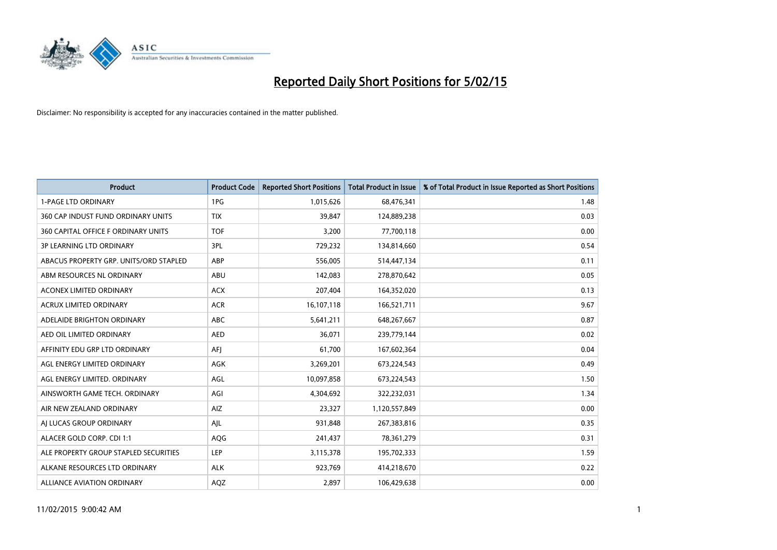

| <b>Product</b>                         | <b>Product Code</b> | <b>Reported Short Positions</b> | <b>Total Product in Issue</b> | % of Total Product in Issue Reported as Short Positions |
|----------------------------------------|---------------------|---------------------------------|-------------------------------|---------------------------------------------------------|
| <b>1-PAGE LTD ORDINARY</b>             | 1PG                 | 1,015,626                       | 68,476,341                    | 1.48                                                    |
| 360 CAP INDUST FUND ORDINARY UNITS     | <b>TIX</b>          | 39,847                          | 124,889,238                   | 0.03                                                    |
| 360 CAPITAL OFFICE F ORDINARY UNITS    | <b>TOF</b>          | 3,200                           | 77,700,118                    | 0.00                                                    |
| <b>3P LEARNING LTD ORDINARY</b>        | 3PL                 | 729,232                         | 134,814,660                   | 0.54                                                    |
| ABACUS PROPERTY GRP. UNITS/ORD STAPLED | ABP                 | 556,005                         | 514,447,134                   | 0.11                                                    |
| ABM RESOURCES NL ORDINARY              | ABU                 | 142,083                         | 278,870,642                   | 0.05                                                    |
| ACONEX LIMITED ORDINARY                | <b>ACX</b>          | 207,404                         | 164,352,020                   | 0.13                                                    |
| ACRUX LIMITED ORDINARY                 | <b>ACR</b>          | 16,107,118                      | 166,521,711                   | 9.67                                                    |
| ADELAIDE BRIGHTON ORDINARY             | <b>ABC</b>          | 5,641,211                       | 648,267,667                   | 0.87                                                    |
| AED OIL LIMITED ORDINARY               | <b>AED</b>          | 36,071                          | 239,779,144                   | 0.02                                                    |
| AFFINITY EDU GRP LTD ORDINARY          | AFJ                 | 61,700                          | 167,602,364                   | 0.04                                                    |
| AGL ENERGY LIMITED ORDINARY            | AGK                 | 3,269,201                       | 673,224,543                   | 0.49                                                    |
| AGL ENERGY LIMITED. ORDINARY           | AGL                 | 10,097,858                      | 673,224,543                   | 1.50                                                    |
| AINSWORTH GAME TECH. ORDINARY          | AGI                 | 4,304,692                       | 322,232,031                   | 1.34                                                    |
| AIR NEW ZEALAND ORDINARY               | AIZ                 | 23,327                          | 1,120,557,849                 | 0.00                                                    |
| AI LUCAS GROUP ORDINARY                | AJL                 | 931,848                         | 267,383,816                   | 0.35                                                    |
| ALACER GOLD CORP. CDI 1:1              | AQG                 | 241,437                         | 78,361,279                    | 0.31                                                    |
| ALE PROPERTY GROUP STAPLED SECURITIES  | LEP                 | 3,115,378                       | 195,702,333                   | 1.59                                                    |
| ALKANE RESOURCES LTD ORDINARY          | <b>ALK</b>          | 923,769                         | 414,218,670                   | 0.22                                                    |
| <b>ALLIANCE AVIATION ORDINARY</b>      | AQZ                 | 2,897                           | 106,429,638                   | 0.00                                                    |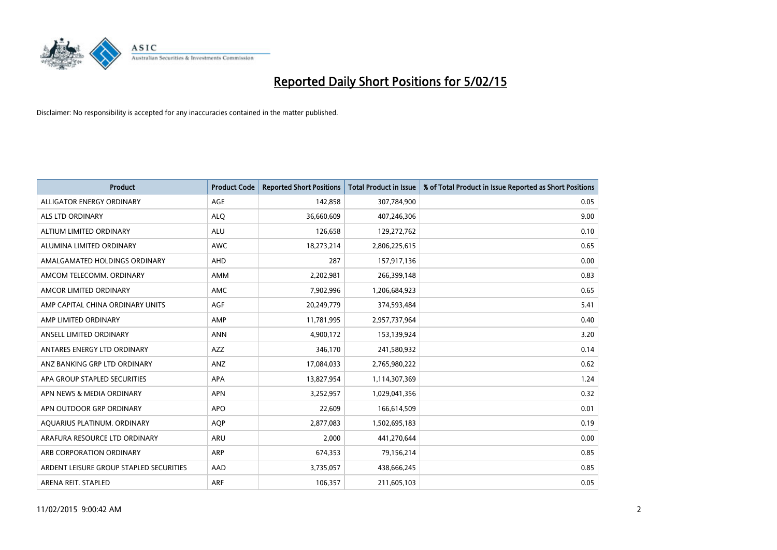

| <b>Product</b>                          | <b>Product Code</b> | <b>Reported Short Positions</b> | <b>Total Product in Issue</b> | % of Total Product in Issue Reported as Short Positions |
|-----------------------------------------|---------------------|---------------------------------|-------------------------------|---------------------------------------------------------|
| ALLIGATOR ENERGY ORDINARY               | AGE                 | 142,858                         | 307,784,900                   | 0.05                                                    |
| ALS LTD ORDINARY                        | <b>ALQ</b>          | 36,660,609                      | 407,246,306                   | 9.00                                                    |
| ALTIUM LIMITED ORDINARY                 | <b>ALU</b>          | 126,658                         | 129,272,762                   | 0.10                                                    |
| ALUMINA LIMITED ORDINARY                | <b>AWC</b>          | 18,273,214                      | 2,806,225,615                 | 0.65                                                    |
| AMALGAMATED HOLDINGS ORDINARY           | AHD                 | 287                             | 157,917,136                   | 0.00                                                    |
| AMCOM TELECOMM, ORDINARY                | AMM                 | 2,202,981                       | 266,399,148                   | 0.83                                                    |
| AMCOR LIMITED ORDINARY                  | AMC                 | 7,902,996                       | 1,206,684,923                 | 0.65                                                    |
| AMP CAPITAL CHINA ORDINARY UNITS        | AGF                 | 20,249,779                      | 374,593,484                   | 5.41                                                    |
| AMP LIMITED ORDINARY                    | AMP                 | 11,781,995                      | 2,957,737,964                 | 0.40                                                    |
| ANSELL LIMITED ORDINARY                 | <b>ANN</b>          | 4,900,172                       | 153,139,924                   | 3.20                                                    |
| ANTARES ENERGY LTD ORDINARY             | AZZ                 | 346,170                         | 241,580,932                   | 0.14                                                    |
| ANZ BANKING GRP LTD ORDINARY            | <b>ANZ</b>          | 17,084,033                      | 2,765,980,222                 | 0.62                                                    |
| APA GROUP STAPLED SECURITIES            | APA                 | 13,827,954                      | 1,114,307,369                 | 1.24                                                    |
| APN NEWS & MEDIA ORDINARY               | <b>APN</b>          | 3,252,957                       | 1,029,041,356                 | 0.32                                                    |
| APN OUTDOOR GRP ORDINARY                | <b>APO</b>          | 22,609                          | 166,614,509                   | 0.01                                                    |
| AQUARIUS PLATINUM. ORDINARY             | <b>AOP</b>          | 2,877,083                       | 1,502,695,183                 | 0.19                                                    |
| ARAFURA RESOURCE LTD ORDINARY           | ARU                 | 2,000                           | 441,270,644                   | 0.00                                                    |
| ARB CORPORATION ORDINARY                | ARP                 | 674,353                         | 79,156,214                    | 0.85                                                    |
| ARDENT LEISURE GROUP STAPLED SECURITIES | AAD                 | 3,735,057                       | 438,666,245                   | 0.85                                                    |
| ARENA REIT. STAPLED                     | ARF                 | 106,357                         | 211,605,103                   | 0.05                                                    |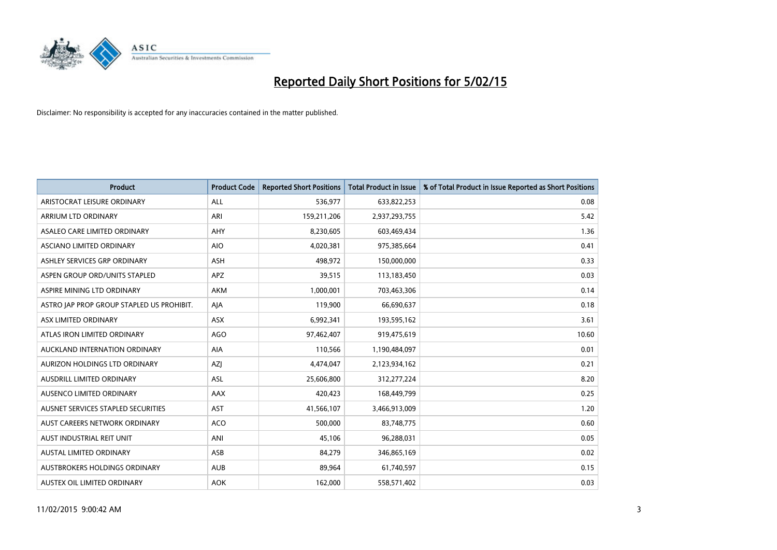

| <b>Product</b>                            | <b>Product Code</b> | <b>Reported Short Positions</b> | <b>Total Product in Issue</b> | % of Total Product in Issue Reported as Short Positions |
|-------------------------------------------|---------------------|---------------------------------|-------------------------------|---------------------------------------------------------|
| ARISTOCRAT LEISURE ORDINARY               | ALL                 | 536,977                         | 633,822,253                   | 0.08                                                    |
| ARRIUM LTD ORDINARY                       | ARI                 | 159,211,206                     | 2,937,293,755                 | 5.42                                                    |
| ASALEO CARE LIMITED ORDINARY              | AHY                 | 8,230,605                       | 603,469,434                   | 1.36                                                    |
| ASCIANO LIMITED ORDINARY                  | <b>AIO</b>          | 4,020,381                       | 975,385,664                   | 0.41                                                    |
| ASHLEY SERVICES GRP ORDINARY              | <b>ASH</b>          | 498,972                         | 150,000,000                   | 0.33                                                    |
| ASPEN GROUP ORD/UNITS STAPLED             | APZ                 | 39,515                          | 113,183,450                   | 0.03                                                    |
| ASPIRE MINING LTD ORDINARY                | AKM                 | 1,000,001                       | 703,463,306                   | 0.14                                                    |
| ASTRO JAP PROP GROUP STAPLED US PROHIBIT. | AJA                 | 119,900                         | 66,690,637                    | 0.18                                                    |
| ASX LIMITED ORDINARY                      | ASX                 | 6,992,341                       | 193,595,162                   | 3.61                                                    |
| ATLAS IRON LIMITED ORDINARY               | AGO                 | 97,462,407                      | 919,475,619                   | 10.60                                                   |
| AUCKLAND INTERNATION ORDINARY             | AIA                 | 110,566                         | 1,190,484,097                 | 0.01                                                    |
| AURIZON HOLDINGS LTD ORDINARY             | AZJ                 | 4,474,047                       | 2,123,934,162                 | 0.21                                                    |
| AUSDRILL LIMITED ORDINARY                 | ASL                 | 25,606,800                      | 312,277,224                   | 8.20                                                    |
| AUSENCO LIMITED ORDINARY                  | AAX                 | 420,423                         | 168,449,799                   | 0.25                                                    |
| AUSNET SERVICES STAPLED SECURITIES        | <b>AST</b>          | 41,566,107                      | 3,466,913,009                 | 1.20                                                    |
| AUST CAREERS NETWORK ORDINARY             | <b>ACO</b>          | 500,000                         | 83,748,775                    | 0.60                                                    |
| AUST INDUSTRIAL REIT UNIT                 | ANI                 | 45,106                          | 96,288,031                    | 0.05                                                    |
| AUSTAL LIMITED ORDINARY                   | ASB                 | 84,279                          | 346,865,169                   | 0.02                                                    |
| AUSTBROKERS HOLDINGS ORDINARY             | <b>AUB</b>          | 89,964                          | 61,740,597                    | 0.15                                                    |
| AUSTEX OIL LIMITED ORDINARY               | <b>AOK</b>          | 162,000                         | 558,571,402                   | 0.03                                                    |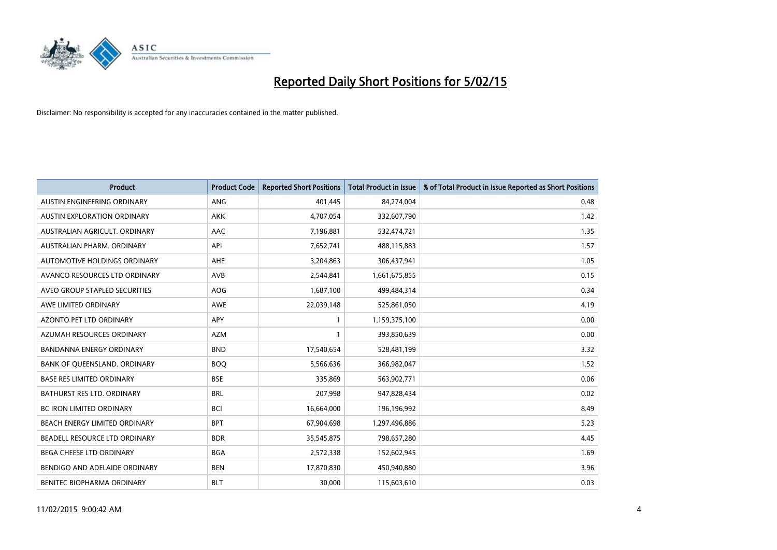

| <b>Product</b>                    | <b>Product Code</b> | <b>Reported Short Positions</b> | <b>Total Product in Issue</b> | % of Total Product in Issue Reported as Short Positions |
|-----------------------------------|---------------------|---------------------------------|-------------------------------|---------------------------------------------------------|
| AUSTIN ENGINEERING ORDINARY       | ANG                 | 401,445                         | 84,274,004                    | 0.48                                                    |
| AUSTIN EXPLORATION ORDINARY       | <b>AKK</b>          | 4,707,054                       | 332,607,790                   | 1.42                                                    |
| AUSTRALIAN AGRICULT, ORDINARY     | AAC                 | 7,196,881                       | 532,474,721                   | 1.35                                                    |
| AUSTRALIAN PHARM. ORDINARY        | API                 | 7,652,741                       | 488,115,883                   | 1.57                                                    |
| AUTOMOTIVE HOLDINGS ORDINARY      | AHE                 | 3,204,863                       | 306,437,941                   | 1.05                                                    |
| AVANCO RESOURCES LTD ORDINARY     | AVB                 | 2,544,841                       | 1,661,675,855                 | 0.15                                                    |
| AVEO GROUP STAPLED SECURITIES     | AOG                 | 1,687,100                       | 499,484,314                   | 0.34                                                    |
| AWE LIMITED ORDINARY              | AWE                 | 22,039,148                      | 525,861,050                   | 4.19                                                    |
| <b>AZONTO PET LTD ORDINARY</b>    | APY                 | $\mathbf{1}$                    | 1,159,375,100                 | 0.00                                                    |
| AZUMAH RESOURCES ORDINARY         | <b>AZM</b>          | 1                               | 393,850,639                   | 0.00                                                    |
| BANDANNA ENERGY ORDINARY          | <b>BND</b>          | 17,540,654                      | 528,481,199                   | 3.32                                                    |
| BANK OF QUEENSLAND. ORDINARY      | <b>BOQ</b>          | 5,566,636                       | 366,982,047                   | 1.52                                                    |
| <b>BASE RES LIMITED ORDINARY</b>  | <b>BSE</b>          | 335,869                         | 563,902,771                   | 0.06                                                    |
| <b>BATHURST RES LTD. ORDINARY</b> | <b>BRL</b>          | 207,998                         | 947,828,434                   | 0.02                                                    |
| <b>BC IRON LIMITED ORDINARY</b>   | <b>BCI</b>          | 16,664,000                      | 196,196,992                   | 8.49                                                    |
| BEACH ENERGY LIMITED ORDINARY     | <b>BPT</b>          | 67,904,698                      | 1,297,496,886                 | 5.23                                                    |
| BEADELL RESOURCE LTD ORDINARY     | <b>BDR</b>          | 35,545,875                      | 798,657,280                   | 4.45                                                    |
| BEGA CHEESE LTD ORDINARY          | <b>BGA</b>          | 2,572,338                       | 152,602,945                   | 1.69                                                    |
| BENDIGO AND ADELAIDE ORDINARY     | <b>BEN</b>          | 17,870,830                      | 450,940,880                   | 3.96                                                    |
| BENITEC BIOPHARMA ORDINARY        | <b>BLT</b>          | 30,000                          | 115,603,610                   | 0.03                                                    |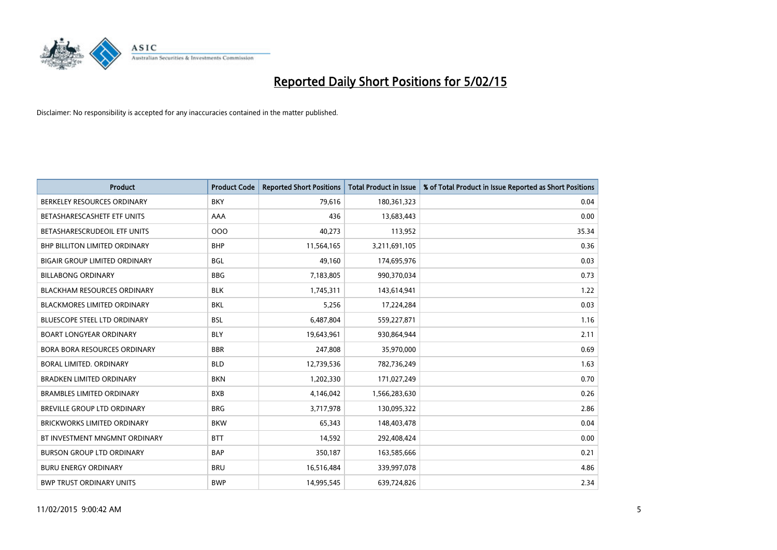

| <b>Product</b>                       | <b>Product Code</b> | <b>Reported Short Positions</b> | <b>Total Product in Issue</b> | % of Total Product in Issue Reported as Short Positions |
|--------------------------------------|---------------------|---------------------------------|-------------------------------|---------------------------------------------------------|
| BERKELEY RESOURCES ORDINARY          | <b>BKY</b>          | 79,616                          | 180,361,323                   | 0.04                                                    |
| BETASHARESCASHETF ETF UNITS          | AAA                 | 436                             | 13,683,443                    | 0.00                                                    |
| BETASHARESCRUDEOIL ETF UNITS         | 000                 | 40,273                          | 113,952                       | 35.34                                                   |
| <b>BHP BILLITON LIMITED ORDINARY</b> | <b>BHP</b>          | 11,564,165                      | 3,211,691,105                 | 0.36                                                    |
| <b>BIGAIR GROUP LIMITED ORDINARY</b> | <b>BGL</b>          | 49,160                          | 174,695,976                   | 0.03                                                    |
| <b>BILLABONG ORDINARY</b>            | <b>BBG</b>          | 7,183,805                       | 990,370,034                   | 0.73                                                    |
| <b>BLACKHAM RESOURCES ORDINARY</b>   | <b>BLK</b>          | 1,745,311                       | 143,614,941                   | 1.22                                                    |
| <b>BLACKMORES LIMITED ORDINARY</b>   | <b>BKL</b>          | 5,256                           | 17,224,284                    | 0.03                                                    |
| <b>BLUESCOPE STEEL LTD ORDINARY</b>  | <b>BSL</b>          | 6,487,804                       | 559,227,871                   | 1.16                                                    |
| <b>BOART LONGYEAR ORDINARY</b>       | <b>BLY</b>          | 19,643,961                      | 930,864,944                   | 2.11                                                    |
| BORA BORA RESOURCES ORDINARY         | <b>BBR</b>          | 247,808                         | 35,970,000                    | 0.69                                                    |
| <b>BORAL LIMITED, ORDINARY</b>       | <b>BLD</b>          | 12,739,536                      | 782,736,249                   | 1.63                                                    |
| <b>BRADKEN LIMITED ORDINARY</b>      | <b>BKN</b>          | 1,202,330                       | 171,027,249                   | 0.70                                                    |
| <b>BRAMBLES LIMITED ORDINARY</b>     | <b>BXB</b>          | 4,146,042                       | 1,566,283,630                 | 0.26                                                    |
| BREVILLE GROUP LTD ORDINARY          | <b>BRG</b>          | 3,717,978                       | 130,095,322                   | 2.86                                                    |
| <b>BRICKWORKS LIMITED ORDINARY</b>   | <b>BKW</b>          | 65,343                          | 148,403,478                   | 0.04                                                    |
| BT INVESTMENT MNGMNT ORDINARY        | <b>BTT</b>          | 14,592                          | 292,408,424                   | 0.00                                                    |
| <b>BURSON GROUP LTD ORDINARY</b>     | <b>BAP</b>          | 350,187                         | 163,585,666                   | 0.21                                                    |
| <b>BURU ENERGY ORDINARY</b>          | <b>BRU</b>          | 16,516,484                      | 339,997,078                   | 4.86                                                    |
| <b>BWP TRUST ORDINARY UNITS</b>      | <b>BWP</b>          | 14,995,545                      | 639,724,826                   | 2.34                                                    |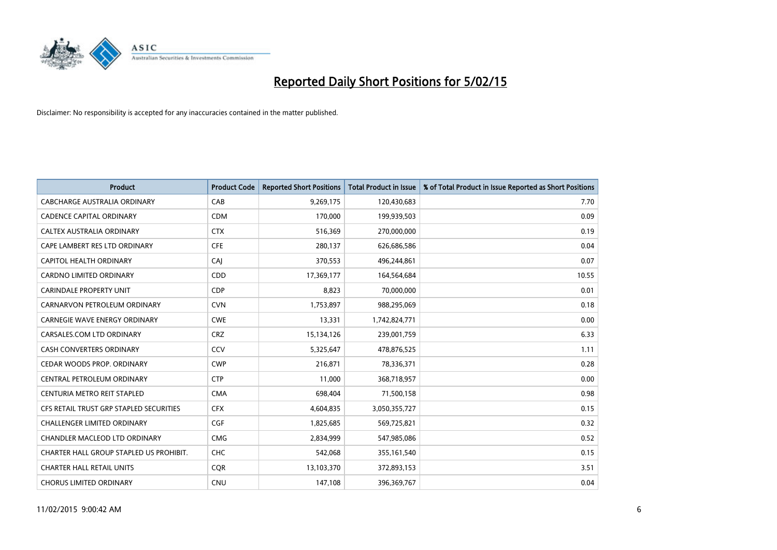

| <b>Product</b>                          | <b>Product Code</b> | <b>Reported Short Positions</b> | <b>Total Product in Issue</b> | % of Total Product in Issue Reported as Short Positions |
|-----------------------------------------|---------------------|---------------------------------|-------------------------------|---------------------------------------------------------|
| <b>CABCHARGE AUSTRALIA ORDINARY</b>     | CAB                 | 9,269,175                       | 120,430,683                   | 7.70                                                    |
| <b>CADENCE CAPITAL ORDINARY</b>         | <b>CDM</b>          | 170,000                         | 199,939,503                   | 0.09                                                    |
| <b>CALTEX AUSTRALIA ORDINARY</b>        | <b>CTX</b>          | 516,369                         | 270,000,000                   | 0.19                                                    |
| CAPE LAMBERT RES LTD ORDINARY           | <b>CFE</b>          | 280,137                         | 626,686,586                   | 0.04                                                    |
| <b>CAPITOL HEALTH ORDINARY</b>          | CAI                 | 370,553                         | 496,244,861                   | 0.07                                                    |
| <b>CARDNO LIMITED ORDINARY</b>          | CDD                 | 17,369,177                      | 164,564,684                   | 10.55                                                   |
| CARINDALE PROPERTY UNIT                 | <b>CDP</b>          | 8,823                           | 70,000,000                    | 0.01                                                    |
| CARNARVON PETROLEUM ORDINARY            | <b>CVN</b>          | 1,753,897                       | 988,295,069                   | 0.18                                                    |
| <b>CARNEGIE WAVE ENERGY ORDINARY</b>    | <b>CWE</b>          | 13,331                          | 1,742,824,771                 | 0.00                                                    |
| CARSALES.COM LTD ORDINARY               | <b>CRZ</b>          | 15,134,126                      | 239,001,759                   | 6.33                                                    |
| CASH CONVERTERS ORDINARY                | CCV                 | 5,325,647                       | 478,876,525                   | 1.11                                                    |
| CEDAR WOODS PROP. ORDINARY              | <b>CWP</b>          | 216,871                         | 78,336,371                    | 0.28                                                    |
| CENTRAL PETROLEUM ORDINARY              | <b>CTP</b>          | 11,000                          | 368,718,957                   | 0.00                                                    |
| CENTURIA METRO REIT STAPLED             | <b>CMA</b>          | 698,404                         | 71,500,158                    | 0.98                                                    |
| CFS RETAIL TRUST GRP STAPLED SECURITIES | <b>CFX</b>          | 4,604,835                       | 3,050,355,727                 | 0.15                                                    |
| CHALLENGER LIMITED ORDINARY             | <b>CGF</b>          | 1,825,685                       | 569,725,821                   | 0.32                                                    |
| CHANDLER MACLEOD LTD ORDINARY           | <b>CMG</b>          | 2,834,999                       | 547,985,086                   | 0.52                                                    |
| CHARTER HALL GROUP STAPLED US PROHIBIT. | <b>CHC</b>          | 542,068                         | 355,161,540                   | 0.15                                                    |
| <b>CHARTER HALL RETAIL UNITS</b>        | <b>COR</b>          | 13,103,370                      | 372,893,153                   | 3.51                                                    |
| <b>CHORUS LIMITED ORDINARY</b>          | <b>CNU</b>          | 147,108                         | 396,369,767                   | 0.04                                                    |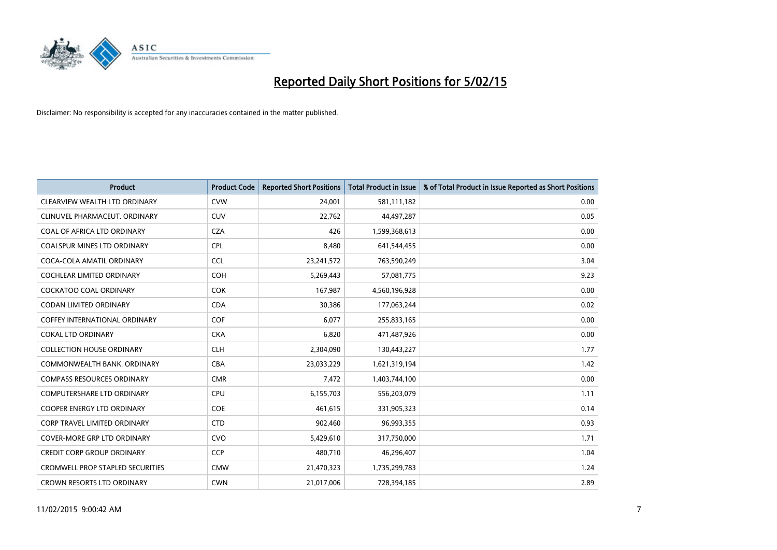

| <b>Product</b>                          | <b>Product Code</b> | <b>Reported Short Positions</b> | <b>Total Product in Issue</b> | % of Total Product in Issue Reported as Short Positions |
|-----------------------------------------|---------------------|---------------------------------|-------------------------------|---------------------------------------------------------|
| CLEARVIEW WEALTH LTD ORDINARY           | <b>CVW</b>          | 24,001                          | 581,111,182                   | 0.00                                                    |
| CLINUVEL PHARMACEUT. ORDINARY           | <b>CUV</b>          | 22,762                          | 44,497,287                    | 0.05                                                    |
| COAL OF AFRICA LTD ORDINARY             | <b>CZA</b>          | 426                             | 1,599,368,613                 | 0.00                                                    |
| <b>COALSPUR MINES LTD ORDINARY</b>      | <b>CPL</b>          | 8,480                           | 641,544,455                   | 0.00                                                    |
| COCA-COLA AMATIL ORDINARY               | <b>CCL</b>          | 23,241,572                      | 763,590,249                   | 3.04                                                    |
| <b>COCHLEAR LIMITED ORDINARY</b>        | <b>COH</b>          | 5,269,443                       | 57,081,775                    | 9.23                                                    |
| <b>COCKATOO COAL ORDINARY</b>           | <b>COK</b>          | 167,987                         | 4,560,196,928                 | 0.00                                                    |
| <b>CODAN LIMITED ORDINARY</b>           | <b>CDA</b>          | 30,386                          | 177,063,244                   | 0.02                                                    |
| <b>COFFEY INTERNATIONAL ORDINARY</b>    | <b>COF</b>          | 6,077                           | 255,833,165                   | 0.00                                                    |
| <b>COKAL LTD ORDINARY</b>               | <b>CKA</b>          | 6,820                           | 471,487,926                   | 0.00                                                    |
| <b>COLLECTION HOUSE ORDINARY</b>        | <b>CLH</b>          | 2,304,090                       | 130,443,227                   | 1.77                                                    |
| COMMONWEALTH BANK, ORDINARY             | <b>CBA</b>          | 23,033,229                      | 1,621,319,194                 | 1.42                                                    |
| <b>COMPASS RESOURCES ORDINARY</b>       | <b>CMR</b>          | 7,472                           | 1,403,744,100                 | 0.00                                                    |
| <b>COMPUTERSHARE LTD ORDINARY</b>       | <b>CPU</b>          | 6,155,703                       | 556,203,079                   | 1.11                                                    |
| <b>COOPER ENERGY LTD ORDINARY</b>       | <b>COE</b>          | 461,615                         | 331,905,323                   | 0.14                                                    |
| <b>CORP TRAVEL LIMITED ORDINARY</b>     | <b>CTD</b>          | 902,460                         | 96,993,355                    | 0.93                                                    |
| <b>COVER-MORE GRP LTD ORDINARY</b>      | <b>CVO</b>          | 5,429,610                       | 317,750,000                   | 1.71                                                    |
| <b>CREDIT CORP GROUP ORDINARY</b>       | <b>CCP</b>          | 480,710                         | 46,296,407                    | 1.04                                                    |
| <b>CROMWELL PROP STAPLED SECURITIES</b> | <b>CMW</b>          | 21,470,323                      | 1,735,299,783                 | 1.24                                                    |
| CROWN RESORTS LTD ORDINARY              | <b>CWN</b>          | 21,017,006                      | 728,394,185                   | 2.89                                                    |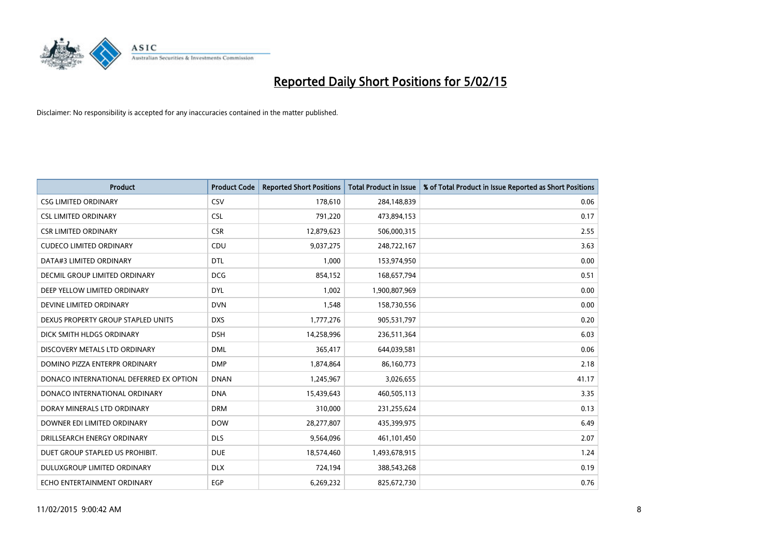

| <b>Product</b>                          | <b>Product Code</b> | <b>Reported Short Positions</b> | <b>Total Product in Issue</b> | % of Total Product in Issue Reported as Short Positions |
|-----------------------------------------|---------------------|---------------------------------|-------------------------------|---------------------------------------------------------|
| <b>CSG LIMITED ORDINARY</b>             | CSV                 | 178,610                         | 284,148,839                   | 0.06                                                    |
| <b>CSL LIMITED ORDINARY</b>             | <b>CSL</b>          | 791,220                         | 473,894,153                   | 0.17                                                    |
| <b>CSR LIMITED ORDINARY</b>             | <b>CSR</b>          | 12,879,623                      | 506,000,315                   | 2.55                                                    |
| <b>CUDECO LIMITED ORDINARY</b>          | CDU                 | 9,037,275                       | 248,722,167                   | 3.63                                                    |
| DATA#3 LIMITED ORDINARY                 | DTL                 | 1,000                           | 153,974,950                   | 0.00                                                    |
| DECMIL GROUP LIMITED ORDINARY           | <b>DCG</b>          | 854,152                         | 168,657,794                   | 0.51                                                    |
| DEEP YELLOW LIMITED ORDINARY            | <b>DYL</b>          | 1,002                           | 1,900,807,969                 | 0.00                                                    |
| DEVINE LIMITED ORDINARY                 | <b>DVN</b>          | 1,548                           | 158,730,556                   | 0.00                                                    |
| DEXUS PROPERTY GROUP STAPLED UNITS      | <b>DXS</b>          | 1,777,276                       | 905,531,797                   | 0.20                                                    |
| DICK SMITH HLDGS ORDINARY               | <b>DSH</b>          | 14,258,996                      | 236,511,364                   | 6.03                                                    |
| DISCOVERY METALS LTD ORDINARY           | <b>DML</b>          | 365,417                         | 644,039,581                   | 0.06                                                    |
| DOMINO PIZZA ENTERPR ORDINARY           | <b>DMP</b>          | 1,874,864                       | 86,160,773                    | 2.18                                                    |
| DONACO INTERNATIONAL DEFERRED EX OPTION | <b>DNAN</b>         | 1,245,967                       | 3,026,655                     | 41.17                                                   |
| DONACO INTERNATIONAL ORDINARY           | <b>DNA</b>          | 15,439,643                      | 460,505,113                   | 3.35                                                    |
| DORAY MINERALS LTD ORDINARY             | <b>DRM</b>          | 310,000                         | 231,255,624                   | 0.13                                                    |
| DOWNER EDI LIMITED ORDINARY             | <b>DOW</b>          | 28,277,807                      | 435,399,975                   | 6.49                                                    |
| DRILLSEARCH ENERGY ORDINARY             | <b>DLS</b>          | 9,564,096                       | 461,101,450                   | 2.07                                                    |
| DUET GROUP STAPLED US PROHIBIT.         | <b>DUE</b>          | 18,574,460                      | 1,493,678,915                 | 1.24                                                    |
| DULUXGROUP LIMITED ORDINARY             | <b>DLX</b>          | 724,194                         | 388,543,268                   | 0.19                                                    |
| ECHO ENTERTAINMENT ORDINARY             | <b>EGP</b>          | 6,269,232                       | 825,672,730                   | 0.76                                                    |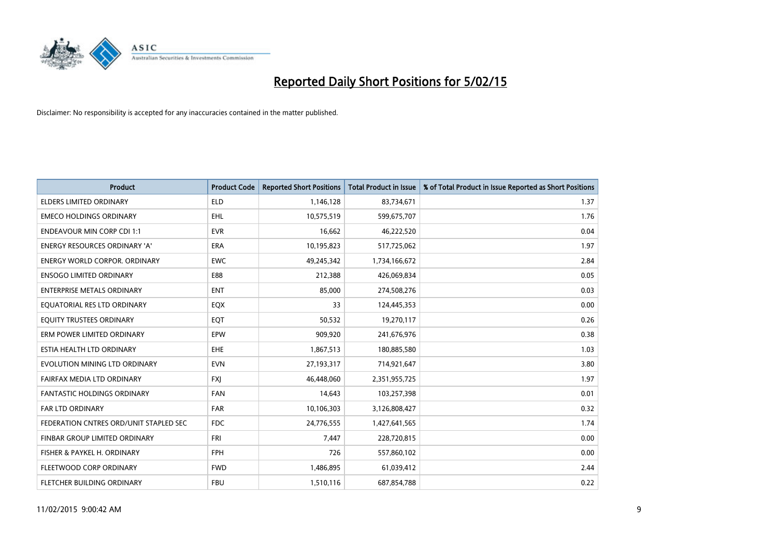

| <b>Product</b>                         | <b>Product Code</b> | <b>Reported Short Positions</b> | <b>Total Product in Issue</b> | % of Total Product in Issue Reported as Short Positions |
|----------------------------------------|---------------------|---------------------------------|-------------------------------|---------------------------------------------------------|
| <b>ELDERS LIMITED ORDINARY</b>         | <b>ELD</b>          | 1,146,128                       | 83,734,671                    | 1.37                                                    |
| <b>EMECO HOLDINGS ORDINARY</b>         | <b>EHL</b>          | 10,575,519                      | 599,675,707                   | 1.76                                                    |
| <b>ENDEAVOUR MIN CORP CDI 1:1</b>      | <b>EVR</b>          | 16,662                          | 46,222,520                    | 0.04                                                    |
| <b>ENERGY RESOURCES ORDINARY 'A'</b>   | <b>ERA</b>          | 10,195,823                      | 517,725,062                   | 1.97                                                    |
| <b>ENERGY WORLD CORPOR, ORDINARY</b>   | <b>EWC</b>          | 49,245,342                      | 1,734,166,672                 | 2.84                                                    |
| <b>ENSOGO LIMITED ORDINARY</b>         | E88                 | 212,388                         | 426,069,834                   | 0.05                                                    |
| <b>ENTERPRISE METALS ORDINARY</b>      | <b>ENT</b>          | 85,000                          | 274,508,276                   | 0.03                                                    |
| EQUATORIAL RES LTD ORDINARY            | EQX                 | 33                              | 124,445,353                   | 0.00                                                    |
| EQUITY TRUSTEES ORDINARY               | EQT                 | 50,532                          | 19,270,117                    | 0.26                                                    |
| ERM POWER LIMITED ORDINARY             | EPW                 | 909,920                         | 241,676,976                   | 0.38                                                    |
| ESTIA HEALTH LTD ORDINARY              | EHE                 | 1,867,513                       | 180,885,580                   | 1.03                                                    |
| EVOLUTION MINING LTD ORDINARY          | <b>EVN</b>          | 27,193,317                      | 714,921,647                   | 3.80                                                    |
| FAIRFAX MEDIA LTD ORDINARY             | FXJ                 | 46,448,060                      | 2,351,955,725                 | 1.97                                                    |
| <b>FANTASTIC HOLDINGS ORDINARY</b>     | <b>FAN</b>          | 14,643                          | 103,257,398                   | 0.01                                                    |
| FAR LTD ORDINARY                       | FAR                 | 10,106,303                      | 3,126,808,427                 | 0.32                                                    |
| FEDERATION CNTRES ORD/UNIT STAPLED SEC | <b>FDC</b>          | 24,776,555                      | 1,427,641,565                 | 1.74                                                    |
| FINBAR GROUP LIMITED ORDINARY          | <b>FRI</b>          | 7,447                           | 228,720,815                   | 0.00                                                    |
| FISHER & PAYKEL H. ORDINARY            | <b>FPH</b>          | 726                             | 557,860,102                   | 0.00                                                    |
| FLEETWOOD CORP ORDINARY                | <b>FWD</b>          | 1,486,895                       | 61,039,412                    | 2.44                                                    |
| FLETCHER BUILDING ORDINARY             | <b>FBU</b>          | 1,510,116                       | 687,854,788                   | 0.22                                                    |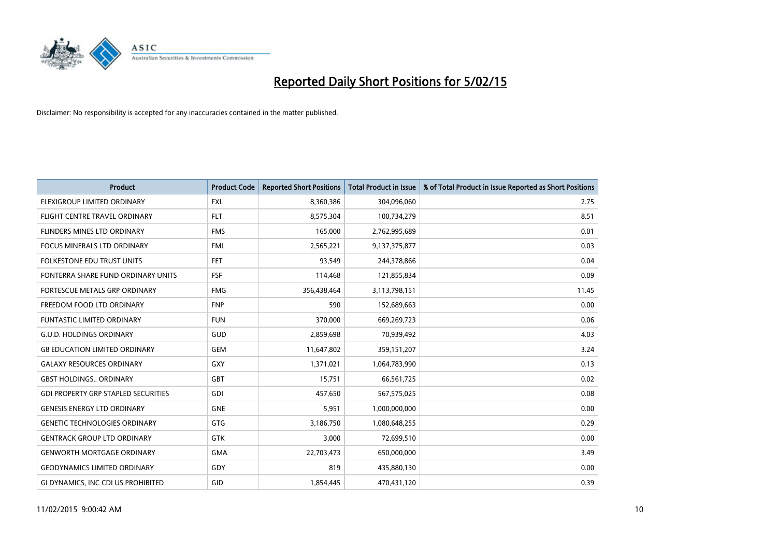

| <b>Product</b>                             | <b>Product Code</b> | <b>Reported Short Positions</b> | <b>Total Product in Issue</b> | % of Total Product in Issue Reported as Short Positions |
|--------------------------------------------|---------------------|---------------------------------|-------------------------------|---------------------------------------------------------|
| FLEXIGROUP LIMITED ORDINARY                | <b>FXL</b>          | 8,360,386                       | 304,096,060                   | 2.75                                                    |
| FLIGHT CENTRE TRAVEL ORDINARY              | <b>FLT</b>          | 8,575,304                       | 100,734,279                   | 8.51                                                    |
| FLINDERS MINES LTD ORDINARY                | <b>FMS</b>          | 165,000                         | 2,762,995,689                 | 0.01                                                    |
| <b>FOCUS MINERALS LTD ORDINARY</b>         | <b>FML</b>          | 2,565,221                       | 9,137,375,877                 | 0.03                                                    |
| FOLKESTONE EDU TRUST UNITS                 | FET                 | 93,549                          | 244,378,866                   | 0.04                                                    |
| FONTERRA SHARE FUND ORDINARY UNITS         | <b>FSF</b>          | 114,468                         | 121,855,834                   | 0.09                                                    |
| FORTESCUE METALS GRP ORDINARY              | <b>FMG</b>          | 356,438,464                     | 3,113,798,151                 | 11.45                                                   |
| FREEDOM FOOD LTD ORDINARY                  | <b>FNP</b>          | 590                             | 152,689,663                   | 0.00                                                    |
| <b>FUNTASTIC LIMITED ORDINARY</b>          | <b>FUN</b>          | 370,000                         | 669,269,723                   | 0.06                                                    |
| <b>G.U.D. HOLDINGS ORDINARY</b>            | GUD                 | 2,859,698                       | 70,939,492                    | 4.03                                                    |
| <b>G8 EDUCATION LIMITED ORDINARY</b>       | <b>GEM</b>          | 11,647,802                      | 359,151,207                   | 3.24                                                    |
| <b>GALAXY RESOURCES ORDINARY</b>           | <b>GXY</b>          | 1,371,021                       | 1,064,783,990                 | 0.13                                                    |
| <b>GBST HOLDINGS., ORDINARY</b>            | GBT                 | 15,751                          | 66,561,725                    | 0.02                                                    |
| <b>GDI PROPERTY GRP STAPLED SECURITIES</b> | GDI                 | 457,650                         | 567,575,025                   | 0.08                                                    |
| <b>GENESIS ENERGY LTD ORDINARY</b>         | <b>GNE</b>          | 5,951                           | 1,000,000,000                 | 0.00                                                    |
| <b>GENETIC TECHNOLOGIES ORDINARY</b>       | GTG                 | 3,186,750                       | 1,080,648,255                 | 0.29                                                    |
| <b>GENTRACK GROUP LTD ORDINARY</b>         | GTK                 | 3,000                           | 72,699,510                    | 0.00                                                    |
| <b>GENWORTH MORTGAGE ORDINARY</b>          | <b>GMA</b>          | 22,703,473                      | 650,000,000                   | 3.49                                                    |
| <b>GEODYNAMICS LIMITED ORDINARY</b>        | GDY                 | 819                             | 435,880,130                   | 0.00                                                    |
| GI DYNAMICS, INC CDI US PROHIBITED         | GID                 | 1,854,445                       | 470,431,120                   | 0.39                                                    |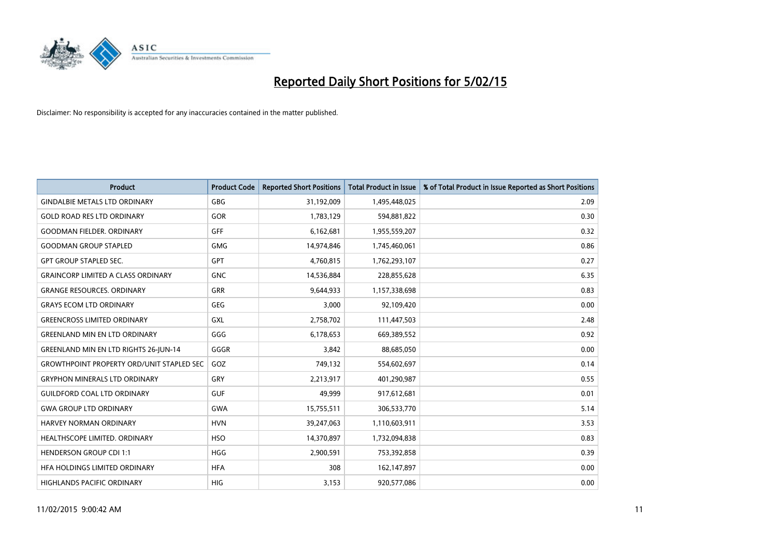

| <b>Product</b>                                   | <b>Product Code</b> | <b>Reported Short Positions</b> | <b>Total Product in Issue</b> | % of Total Product in Issue Reported as Short Positions |
|--------------------------------------------------|---------------------|---------------------------------|-------------------------------|---------------------------------------------------------|
| <b>GINDALBIE METALS LTD ORDINARY</b>             | GBG                 | 31,192,009                      | 1,495,448,025                 | 2.09                                                    |
| <b>GOLD ROAD RES LTD ORDINARY</b>                | GOR                 | 1,783,129                       | 594,881,822                   | 0.30                                                    |
| <b>GOODMAN FIELDER, ORDINARY</b>                 | GFF                 | 6,162,681                       | 1,955,559,207                 | 0.32                                                    |
| <b>GOODMAN GROUP STAPLED</b>                     | <b>GMG</b>          | 14,974,846                      | 1,745,460,061                 | 0.86                                                    |
| <b>GPT GROUP STAPLED SEC.</b>                    | GPT                 | 4,760,815                       | 1,762,293,107                 | 0.27                                                    |
| <b>GRAINCORP LIMITED A CLASS ORDINARY</b>        | <b>GNC</b>          | 14,536,884                      | 228,855,628                   | 6.35                                                    |
| <b>GRANGE RESOURCES, ORDINARY</b>                | GRR                 | 9,644,933                       | 1,157,338,698                 | 0.83                                                    |
| <b>GRAYS ECOM LTD ORDINARY</b>                   | GEG                 | 3,000                           | 92,109,420                    | 0.00                                                    |
| <b>GREENCROSS LIMITED ORDINARY</b>               | <b>GXL</b>          | 2,758,702                       | 111,447,503                   | 2.48                                                    |
| <b>GREENLAND MIN EN LTD ORDINARY</b>             | GGG                 | 6,178,653                       | 669,389,552                   | 0.92                                                    |
| <b>GREENLAND MIN EN LTD RIGHTS 26-JUN-14</b>     | GGGR                | 3,842                           | 88,685,050                    | 0.00                                                    |
| <b>GROWTHPOINT PROPERTY ORD/UNIT STAPLED SEC</b> | GOZ                 | 749,132                         | 554,602,697                   | 0.14                                                    |
| <b>GRYPHON MINERALS LTD ORDINARY</b>             | GRY                 | 2,213,917                       | 401,290,987                   | 0.55                                                    |
| <b>GUILDFORD COAL LTD ORDINARY</b>               | <b>GUF</b>          | 49,999                          | 917,612,681                   | 0.01                                                    |
| <b>GWA GROUP LTD ORDINARY</b>                    | <b>GWA</b>          | 15,755,511                      | 306,533,770                   | 5.14                                                    |
| <b>HARVEY NORMAN ORDINARY</b>                    | <b>HVN</b>          | 39,247,063                      | 1,110,603,911                 | 3.53                                                    |
| HEALTHSCOPE LIMITED. ORDINARY                    | <b>HSO</b>          | 14,370,897                      | 1,732,094,838                 | 0.83                                                    |
| <b>HENDERSON GROUP CDI 1:1</b>                   | <b>HGG</b>          | 2,900,591                       | 753,392,858                   | 0.39                                                    |
| HFA HOLDINGS LIMITED ORDINARY                    | <b>HFA</b>          | 308                             | 162,147,897                   | 0.00                                                    |
| HIGHLANDS PACIFIC ORDINARY                       | HIG                 | 3,153                           | 920,577,086                   | 0.00                                                    |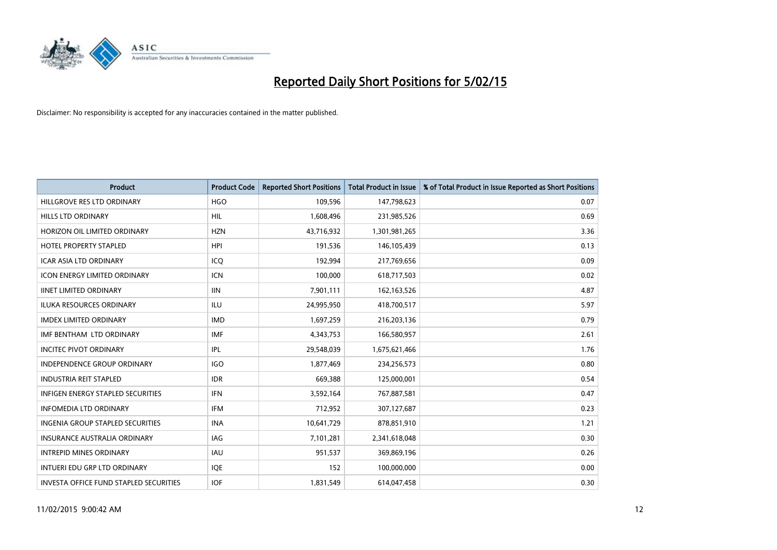

| <b>Product</b>                           | <b>Product Code</b> | <b>Reported Short Positions</b> | <b>Total Product in Issue</b> | % of Total Product in Issue Reported as Short Positions |
|------------------------------------------|---------------------|---------------------------------|-------------------------------|---------------------------------------------------------|
| HILLGROVE RES LTD ORDINARY               | <b>HGO</b>          | 109,596                         | 147,798,623                   | 0.07                                                    |
| <b>HILLS LTD ORDINARY</b>                | HIL                 | 1,608,496                       | 231,985,526                   | 0.69                                                    |
| HORIZON OIL LIMITED ORDINARY             | <b>HZN</b>          | 43,716,932                      | 1,301,981,265                 | 3.36                                                    |
| HOTEL PROPERTY STAPLED                   | <b>HPI</b>          | 191,536                         | 146,105,439                   | 0.13                                                    |
| <b>ICAR ASIA LTD ORDINARY</b>            | ICO                 | 192,994                         | 217,769,656                   | 0.09                                                    |
| <b>ICON ENERGY LIMITED ORDINARY</b>      | <b>ICN</b>          | 100,000                         | 618,717,503                   | 0.02                                                    |
| <b>IINET LIMITED ORDINARY</b>            | <b>IIN</b>          | 7,901,111                       | 162, 163, 526                 | 4.87                                                    |
| ILUKA RESOURCES ORDINARY                 | ILU                 | 24,995,950                      | 418,700,517                   | 5.97                                                    |
| <b>IMDEX LIMITED ORDINARY</b>            | <b>IMD</b>          | 1,697,259                       | 216,203,136                   | 0.79                                                    |
| IMF BENTHAM LTD ORDINARY                 | <b>IMF</b>          | 4,343,753                       | 166,580,957                   | 2.61                                                    |
| <b>INCITEC PIVOT ORDINARY</b>            | IPL                 | 29,548,039                      | 1,675,621,466                 | 1.76                                                    |
| <b>INDEPENDENCE GROUP ORDINARY</b>       | <b>IGO</b>          | 1,877,469                       | 234,256,573                   | 0.80                                                    |
| <b>INDUSTRIA REIT STAPLED</b>            | <b>IDR</b>          | 669,388                         | 125,000,001                   | 0.54                                                    |
| <b>INFIGEN ENERGY STAPLED SECURITIES</b> | <b>IFN</b>          | 3,592,164                       | 767,887,581                   | 0.47                                                    |
| <b>INFOMEDIA LTD ORDINARY</b>            | <b>IFM</b>          | 712,952                         | 307,127,687                   | 0.23                                                    |
| <b>INGENIA GROUP STAPLED SECURITIES</b>  | <b>INA</b>          | 10,641,729                      | 878,851,910                   | 1.21                                                    |
| INSURANCE AUSTRALIA ORDINARY             | IAG                 | 7,101,281                       | 2,341,618,048                 | 0.30                                                    |
| <b>INTREPID MINES ORDINARY</b>           | <b>IAU</b>          | 951,537                         | 369,869,196                   | 0.26                                                    |
| INTUERI EDU GRP LTD ORDINARY             | <b>IQE</b>          | 152                             | 100,000,000                   | 0.00                                                    |
| INVESTA OFFICE FUND STAPLED SECURITIES   | <b>IOF</b>          | 1,831,549                       | 614,047,458                   | 0.30                                                    |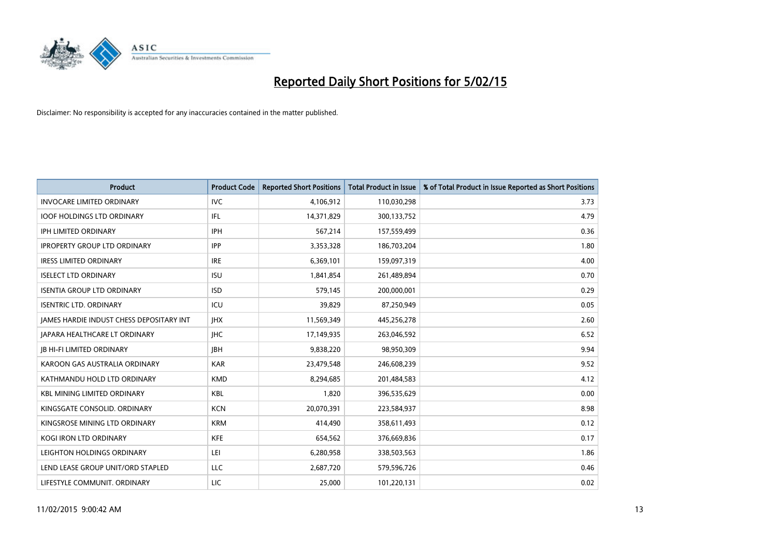

| Product                                         | <b>Product Code</b> | <b>Reported Short Positions</b> | <b>Total Product in Issue</b> | % of Total Product in Issue Reported as Short Positions |
|-------------------------------------------------|---------------------|---------------------------------|-------------------------------|---------------------------------------------------------|
| <b>INVOCARE LIMITED ORDINARY</b>                | <b>IVC</b>          | 4,106,912                       | 110,030,298                   | 3.73                                                    |
| <b>IOOF HOLDINGS LTD ORDINARY</b>               | IFL                 | 14,371,829                      | 300,133,752                   | 4.79                                                    |
| IPH LIMITED ORDINARY                            | <b>IPH</b>          | 567,214                         | 157,559,499                   | 0.36                                                    |
| <b>IPROPERTY GROUP LTD ORDINARY</b>             | <b>IPP</b>          | 3,353,328                       | 186,703,204                   | 1.80                                                    |
| <b>IRESS LIMITED ORDINARY</b>                   | <b>IRE</b>          | 6,369,101                       | 159,097,319                   | 4.00                                                    |
| <b>ISELECT LTD ORDINARY</b>                     | <b>ISU</b>          | 1,841,854                       | 261,489,894                   | 0.70                                                    |
| <b>ISENTIA GROUP LTD ORDINARY</b>               | <b>ISD</b>          | 579,145                         | 200,000,001                   | 0.29                                                    |
| <b>ISENTRIC LTD. ORDINARY</b>                   | ICU                 | 39,829                          | 87,250,949                    | 0.05                                                    |
| <b>JAMES HARDIE INDUST CHESS DEPOSITARY INT</b> | <b>IHX</b>          | 11,569,349                      | 445,256,278                   | 2.60                                                    |
| JAPARA HEALTHCARE LT ORDINARY                   | <b>IHC</b>          | 17,149,935                      | 263,046,592                   | 6.52                                                    |
| <b>JB HI-FI LIMITED ORDINARY</b>                | <b>JBH</b>          | 9,838,220                       | 98,950,309                    | 9.94                                                    |
| KAROON GAS AUSTRALIA ORDINARY                   | <b>KAR</b>          | 23,479,548                      | 246,608,239                   | 9.52                                                    |
| KATHMANDU HOLD LTD ORDINARY                     | <b>KMD</b>          | 8,294,685                       | 201,484,583                   | 4.12                                                    |
| <b>KBL MINING LIMITED ORDINARY</b>              | <b>KBL</b>          | 1,820                           | 396,535,629                   | 0.00                                                    |
| KINGSGATE CONSOLID, ORDINARY                    | <b>KCN</b>          | 20,070,391                      | 223,584,937                   | 8.98                                                    |
| KINGSROSE MINING LTD ORDINARY                   | <b>KRM</b>          | 414,490                         | 358,611,493                   | 0.12                                                    |
| KOGI IRON LTD ORDINARY                          | KFE                 | 654,562                         | 376,669,836                   | 0.17                                                    |
| LEIGHTON HOLDINGS ORDINARY                      | LEI                 | 6,280,958                       | 338,503,563                   | 1.86                                                    |
| LEND LEASE GROUP UNIT/ORD STAPLED               | LLC                 | 2,687,720                       | 579,596,726                   | 0.46                                                    |
| LIFESTYLE COMMUNIT. ORDINARY                    | LIC                 | 25,000                          | 101,220,131                   | 0.02                                                    |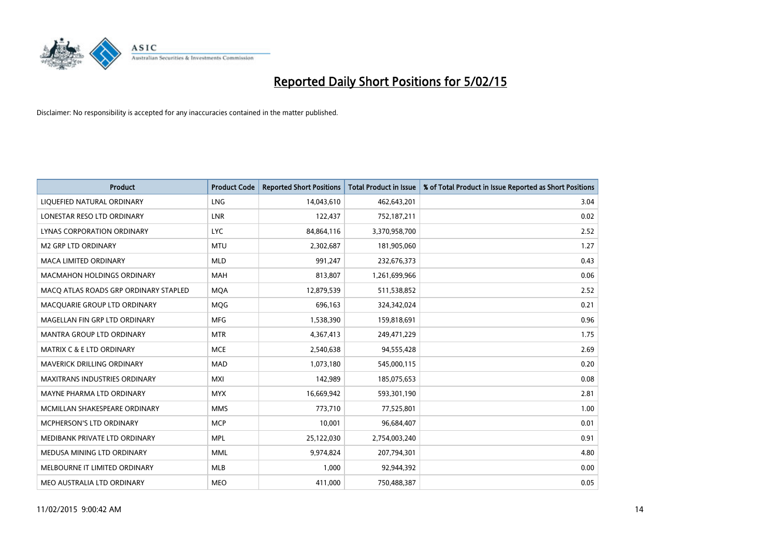

| <b>Product</b>                        | <b>Product Code</b> | <b>Reported Short Positions</b> | <b>Total Product in Issue</b> | % of Total Product in Issue Reported as Short Positions |
|---------------------------------------|---------------------|---------------------------------|-------------------------------|---------------------------------------------------------|
| LIQUEFIED NATURAL ORDINARY            | <b>LNG</b>          | 14,043,610                      | 462,643,201                   | 3.04                                                    |
| LONESTAR RESO LTD ORDINARY            | LNR                 | 122,437                         | 752,187,211                   | 0.02                                                    |
| <b>LYNAS CORPORATION ORDINARY</b>     | <b>LYC</b>          | 84,864,116                      | 3,370,958,700                 | 2.52                                                    |
| <b>M2 GRP LTD ORDINARY</b>            | <b>MTU</b>          | 2,302,687                       | 181,905,060                   | 1.27                                                    |
| <b>MACA LIMITED ORDINARY</b>          | <b>MLD</b>          | 991,247                         | 232,676,373                   | 0.43                                                    |
| <b>MACMAHON HOLDINGS ORDINARY</b>     | <b>MAH</b>          | 813,807                         | 1,261,699,966                 | 0.06                                                    |
| MACO ATLAS ROADS GRP ORDINARY STAPLED | <b>MQA</b>          | 12,879,539                      | 511,538,852                   | 2.52                                                    |
| MACQUARIE GROUP LTD ORDINARY          | MQG                 | 696,163                         | 324,342,024                   | 0.21                                                    |
| MAGELLAN FIN GRP LTD ORDINARY         | <b>MFG</b>          | 1,538,390                       | 159,818,691                   | 0.96                                                    |
| <b>MANTRA GROUP LTD ORDINARY</b>      | <b>MTR</b>          | 4,367,413                       | 249,471,229                   | 1.75                                                    |
| <b>MATRIX C &amp; E LTD ORDINARY</b>  | <b>MCE</b>          | 2,540,638                       | 94,555,428                    | 2.69                                                    |
| <b>MAVERICK DRILLING ORDINARY</b>     | <b>MAD</b>          | 1,073,180                       | 545,000,115                   | 0.20                                                    |
| <b>MAXITRANS INDUSTRIES ORDINARY</b>  | <b>MXI</b>          | 142,989                         | 185,075,653                   | 0.08                                                    |
| MAYNE PHARMA LTD ORDINARY             | <b>MYX</b>          | 16,669,942                      | 593,301,190                   | 2.81                                                    |
| MCMILLAN SHAKESPEARE ORDINARY         | <b>MMS</b>          | 773,710                         | 77,525,801                    | 1.00                                                    |
| MCPHERSON'S LTD ORDINARY              | <b>MCP</b>          | 10,001                          | 96,684,407                    | 0.01                                                    |
| MEDIBANK PRIVATE LTD ORDINARY         | <b>MPL</b>          | 25,122,030                      | 2,754,003,240                 | 0.91                                                    |
| MEDUSA MINING LTD ORDINARY            | <b>MML</b>          | 9,974,824                       | 207,794,301                   | 4.80                                                    |
| MELBOURNE IT LIMITED ORDINARY         | <b>MLB</b>          | 1,000                           | 92,944,392                    | 0.00                                                    |
| MEO AUSTRALIA LTD ORDINARY            | <b>MEO</b>          | 411,000                         | 750,488,387                   | 0.05                                                    |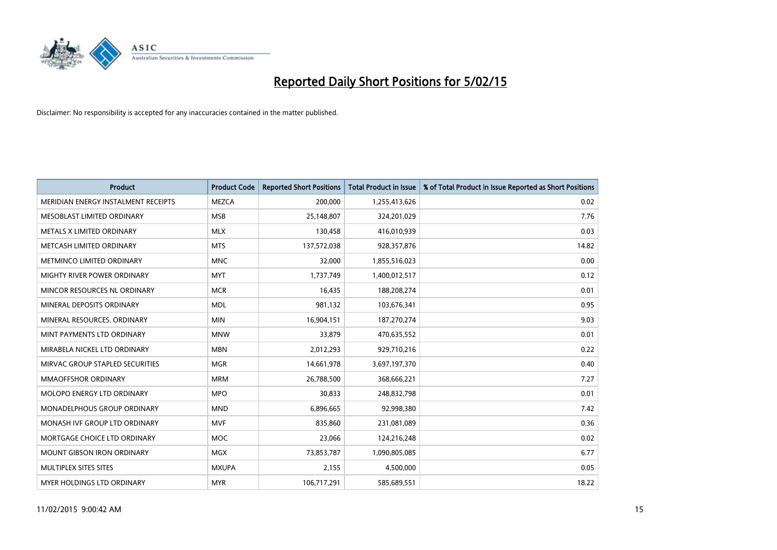

| <b>Product</b>                      | <b>Product Code</b> | <b>Reported Short Positions</b> | <b>Total Product in Issue</b> | % of Total Product in Issue Reported as Short Positions |
|-------------------------------------|---------------------|---------------------------------|-------------------------------|---------------------------------------------------------|
| MERIDIAN ENERGY INSTALMENT RECEIPTS | <b>MEZCA</b>        | 200,000                         | 1,255,413,626                 | 0.02                                                    |
| MESOBLAST LIMITED ORDINARY          | <b>MSB</b>          | 25,148,807                      | 324,201,029                   | 7.76                                                    |
| METALS X LIMITED ORDINARY           | <b>MLX</b>          | 130,458                         | 416,010,939                   | 0.03                                                    |
| METCASH LIMITED ORDINARY            | <b>MTS</b>          | 137,572,038                     | 928,357,876                   | 14.82                                                   |
| METMINCO LIMITED ORDINARY           | <b>MNC</b>          | 32,000                          | 1,855,516,023                 | 0.00                                                    |
| MIGHTY RIVER POWER ORDINARY         | <b>MYT</b>          | 1,737,749                       | 1,400,012,517                 | 0.12                                                    |
| MINCOR RESOURCES NL ORDINARY        | <b>MCR</b>          | 16,435                          | 188,208,274                   | 0.01                                                    |
| MINERAL DEPOSITS ORDINARY           | <b>MDL</b>          | 981,132                         | 103,676,341                   | 0.95                                                    |
| MINERAL RESOURCES, ORDINARY         | <b>MIN</b>          | 16,904,151                      | 187,270,274                   | 9.03                                                    |
| MINT PAYMENTS LTD ORDINARY          | <b>MNW</b>          | 33,879                          | 470,635,552                   | 0.01                                                    |
| MIRABELA NICKEL LTD ORDINARY        | <b>MBN</b>          | 2,012,293                       | 929,710,216                   | 0.22                                                    |
| MIRVAC GROUP STAPLED SECURITIES     | <b>MGR</b>          | 14,661,978                      | 3,697,197,370                 | 0.40                                                    |
| MMAOFFSHOR ORDINARY                 | <b>MRM</b>          | 26,788,500                      | 368,666,221                   | 7.27                                                    |
| MOLOPO ENERGY LTD ORDINARY          | <b>MPO</b>          | 30,833                          | 248,832,798                   | 0.01                                                    |
| MONADELPHOUS GROUP ORDINARY         | <b>MND</b>          | 6,896,665                       | 92,998,380                    | 7.42                                                    |
| MONASH IVF GROUP LTD ORDINARY       | MVF                 | 835,860                         | 231,081,089                   | 0.36                                                    |
| MORTGAGE CHOICE LTD ORDINARY        | MOC                 | 23,066                          | 124,216,248                   | 0.02                                                    |
| <b>MOUNT GIBSON IRON ORDINARY</b>   | <b>MGX</b>          | 73,853,787                      | 1,090,805,085                 | 6.77                                                    |
| MULTIPLEX SITES SITES               | <b>MXUPA</b>        | 2,155                           | 4,500,000                     | 0.05                                                    |
| MYER HOLDINGS LTD ORDINARY          | <b>MYR</b>          | 106,717,291                     | 585,689,551                   | 18.22                                                   |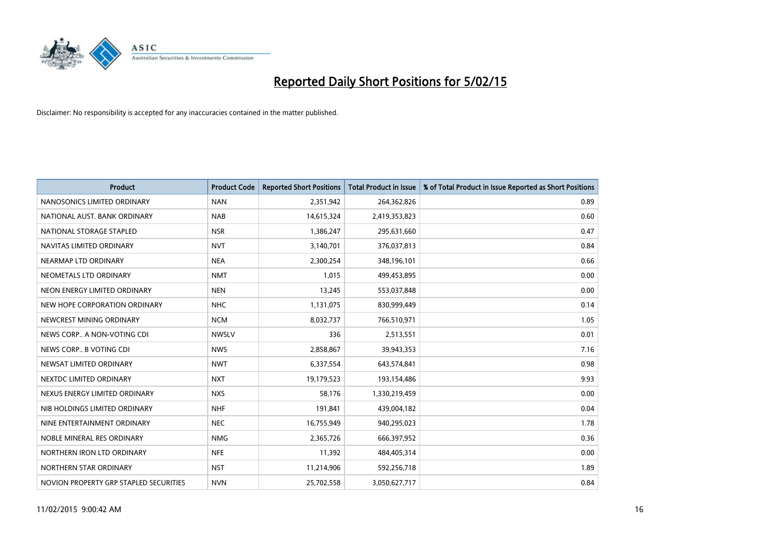

| <b>Product</b>                         | <b>Product Code</b> | <b>Reported Short Positions</b> | <b>Total Product in Issue</b> | % of Total Product in Issue Reported as Short Positions |
|----------------------------------------|---------------------|---------------------------------|-------------------------------|---------------------------------------------------------|
| NANOSONICS LIMITED ORDINARY            | <b>NAN</b>          | 2,351,942                       | 264,362,826                   | 0.89                                                    |
| NATIONAL AUST. BANK ORDINARY           | <b>NAB</b>          | 14,615,324                      | 2,419,353,823                 | 0.60                                                    |
| NATIONAL STORAGE STAPLED               | <b>NSR</b>          | 1,386,247                       | 295,631,660                   | 0.47                                                    |
| NAVITAS LIMITED ORDINARY               | <b>NVT</b>          | 3,140,701                       | 376,037,813                   | 0.84                                                    |
| NEARMAP LTD ORDINARY                   | <b>NEA</b>          | 2,300,254                       | 348,196,101                   | 0.66                                                    |
| NEOMETALS LTD ORDINARY                 | <b>NMT</b>          | 1,015                           | 499,453,895                   | 0.00                                                    |
| NEON ENERGY LIMITED ORDINARY           | <b>NEN</b>          | 13,245                          | 553,037,848                   | 0.00                                                    |
| NEW HOPE CORPORATION ORDINARY          | <b>NHC</b>          | 1,131,075                       | 830,999,449                   | 0.14                                                    |
| NEWCREST MINING ORDINARY               | <b>NCM</b>          | 8,032,737                       | 766,510,971                   | 1.05                                                    |
| NEWS CORP A NON-VOTING CDI             | <b>NWSLV</b>        | 336                             | 2,513,551                     | 0.01                                                    |
| NEWS CORP B VOTING CDI                 | <b>NWS</b>          | 2,858,867                       | 39,943,353                    | 7.16                                                    |
| NEWSAT LIMITED ORDINARY                | <b>NWT</b>          | 6,337,554                       | 643,574,841                   | 0.98                                                    |
| NEXTDC LIMITED ORDINARY                | <b>NXT</b>          | 19,179,523                      | 193,154,486                   | 9.93                                                    |
| NEXUS ENERGY LIMITED ORDINARY          | <b>NXS</b>          | 58,176                          | 1,330,219,459                 | 0.00                                                    |
| NIB HOLDINGS LIMITED ORDINARY          | <b>NHF</b>          | 191,841                         | 439,004,182                   | 0.04                                                    |
| NINE ENTERTAINMENT ORDINARY            | <b>NEC</b>          | 16,755,949                      | 940,295,023                   | 1.78                                                    |
| NOBLE MINERAL RES ORDINARY             | <b>NMG</b>          | 2,365,726                       | 666,397,952                   | 0.36                                                    |
| NORTHERN IRON LTD ORDINARY             | <b>NFE</b>          | 11,392                          | 484,405,314                   | 0.00                                                    |
| NORTHERN STAR ORDINARY                 | <b>NST</b>          | 11,214,906                      | 592,256,718                   | 1.89                                                    |
| NOVION PROPERTY GRP STAPLED SECURITIES | <b>NVN</b>          | 25,702,558                      | 3,050,627,717                 | 0.84                                                    |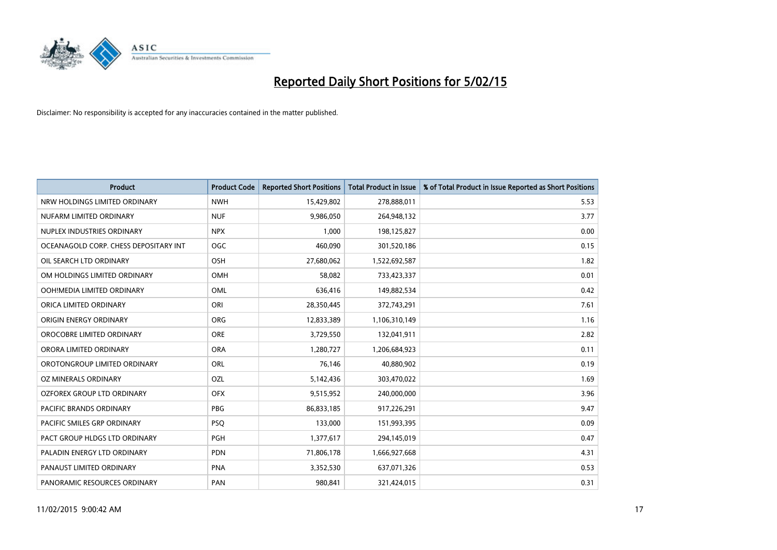

| <b>Product</b>                        | <b>Product Code</b> | <b>Reported Short Positions</b> | <b>Total Product in Issue</b> | % of Total Product in Issue Reported as Short Positions |
|---------------------------------------|---------------------|---------------------------------|-------------------------------|---------------------------------------------------------|
| NRW HOLDINGS LIMITED ORDINARY         | <b>NWH</b>          | 15,429,802                      | 278,888,011                   | 5.53                                                    |
| NUFARM LIMITED ORDINARY               | <b>NUF</b>          | 9,986,050                       | 264,948,132                   | 3.77                                                    |
| NUPLEX INDUSTRIES ORDINARY            | <b>NPX</b>          | 1,000                           | 198,125,827                   | 0.00                                                    |
| OCEANAGOLD CORP. CHESS DEPOSITARY INT | <b>OGC</b>          | 460,090                         | 301,520,186                   | 0.15                                                    |
| OIL SEARCH LTD ORDINARY               | OSH                 | 27,680,062                      | 1,522,692,587                 | 1.82                                                    |
| OM HOLDINGS LIMITED ORDINARY          | OMH                 | 58,082                          | 733,423,337                   | 0.01                                                    |
| OOH!MEDIA LIMITED ORDINARY            | OML                 | 636,416                         | 149,882,534                   | 0.42                                                    |
| ORICA LIMITED ORDINARY                | ORI                 | 28,350,445                      | 372,743,291                   | 7.61                                                    |
| ORIGIN ENERGY ORDINARY                | <b>ORG</b>          | 12,833,389                      | 1,106,310,149                 | 1.16                                                    |
| OROCOBRE LIMITED ORDINARY             | <b>ORE</b>          | 3,729,550                       | 132,041,911                   | 2.82                                                    |
| ORORA LIMITED ORDINARY                | <b>ORA</b>          | 1,280,727                       | 1,206,684,923                 | 0.11                                                    |
| OROTONGROUP LIMITED ORDINARY          | ORL                 | 76,146                          | 40,880,902                    | 0.19                                                    |
| OZ MINERALS ORDINARY                  | <b>OZL</b>          | 5,142,436                       | 303,470,022                   | 1.69                                                    |
| <b>OZFOREX GROUP LTD ORDINARY</b>     | <b>OFX</b>          | 9,515,952                       | 240,000,000                   | 3.96                                                    |
| <b>PACIFIC BRANDS ORDINARY</b>        | <b>PBG</b>          | 86,833,185                      | 917,226,291                   | 9.47                                                    |
| PACIFIC SMILES GRP ORDINARY           | <b>PSQ</b>          | 133,000                         | 151,993,395                   | 0.09                                                    |
| PACT GROUP HLDGS LTD ORDINARY         | PGH                 | 1,377,617                       | 294,145,019                   | 0.47                                                    |
| PALADIN ENERGY LTD ORDINARY           | <b>PDN</b>          | 71,806,178                      | 1,666,927,668                 | 4.31                                                    |
| PANAUST LIMITED ORDINARY              | <b>PNA</b>          | 3,352,530                       | 637,071,326                   | 0.53                                                    |
| PANORAMIC RESOURCES ORDINARY          | PAN                 | 980,841                         | 321,424,015                   | 0.31                                                    |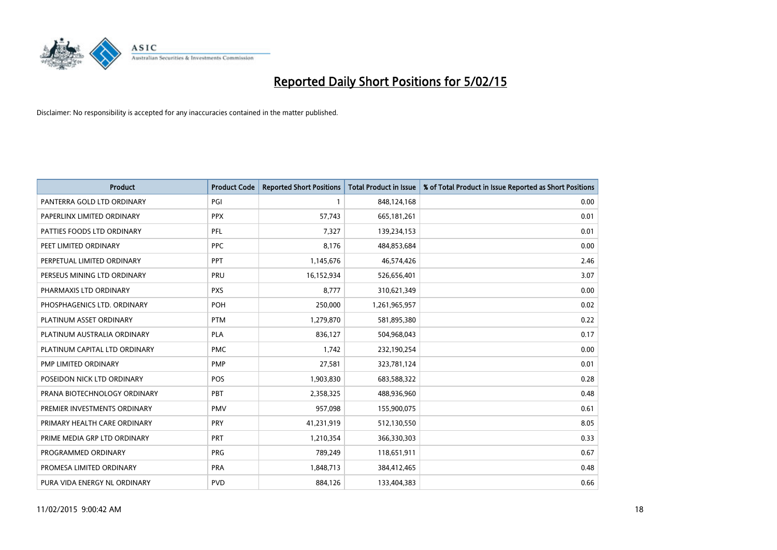

| <b>Product</b>                | <b>Product Code</b> | <b>Reported Short Positions</b> | <b>Total Product in Issue</b> | % of Total Product in Issue Reported as Short Positions |
|-------------------------------|---------------------|---------------------------------|-------------------------------|---------------------------------------------------------|
| PANTERRA GOLD LTD ORDINARY    | PGI                 | 1                               | 848,124,168                   | 0.00                                                    |
| PAPERLINX LIMITED ORDINARY    | <b>PPX</b>          | 57,743                          | 665,181,261                   | 0.01                                                    |
| PATTIES FOODS LTD ORDINARY    | PFL                 | 7,327                           | 139,234,153                   | 0.01                                                    |
| PEET LIMITED ORDINARY         | <b>PPC</b>          | 8,176                           | 484,853,684                   | 0.00                                                    |
| PERPETUAL LIMITED ORDINARY    | PPT                 | 1,145,676                       | 46,574,426                    | 2.46                                                    |
| PERSEUS MINING LTD ORDINARY   | PRU                 | 16,152,934                      | 526,656,401                   | 3.07                                                    |
| PHARMAXIS LTD ORDINARY        | <b>PXS</b>          | 8,777                           | 310,621,349                   | 0.00                                                    |
| PHOSPHAGENICS LTD. ORDINARY   | POH                 | 250,000                         | 1,261,965,957                 | 0.02                                                    |
| PLATINUM ASSET ORDINARY       | <b>PTM</b>          | 1,279,870                       | 581,895,380                   | 0.22                                                    |
| PLATINUM AUSTRALIA ORDINARY   | PLA                 | 836,127                         | 504,968,043                   | 0.17                                                    |
| PLATINUM CAPITAL LTD ORDINARY | <b>PMC</b>          | 1,742                           | 232,190,254                   | 0.00                                                    |
| PMP LIMITED ORDINARY          | <b>PMP</b>          | 27,581                          | 323,781,124                   | 0.01                                                    |
| POSEIDON NICK LTD ORDINARY    | POS                 | 1,903,830                       | 683,588,322                   | 0.28                                                    |
| PRANA BIOTECHNOLOGY ORDINARY  | PBT                 | 2,358,325                       | 488,936,960                   | 0.48                                                    |
| PREMIER INVESTMENTS ORDINARY  | <b>PMV</b>          | 957,098                         | 155,900,075                   | 0.61                                                    |
| PRIMARY HEALTH CARE ORDINARY  | <b>PRY</b>          | 41,231,919                      | 512,130,550                   | 8.05                                                    |
| PRIME MEDIA GRP LTD ORDINARY  | <b>PRT</b>          | 1,210,354                       | 366,330,303                   | 0.33                                                    |
| PROGRAMMED ORDINARY           | <b>PRG</b>          | 789,249                         | 118,651,911                   | 0.67                                                    |
| PROMESA LIMITED ORDINARY      | <b>PRA</b>          | 1,848,713                       | 384,412,465                   | 0.48                                                    |
| PURA VIDA ENERGY NL ORDINARY  | <b>PVD</b>          | 884,126                         | 133,404,383                   | 0.66                                                    |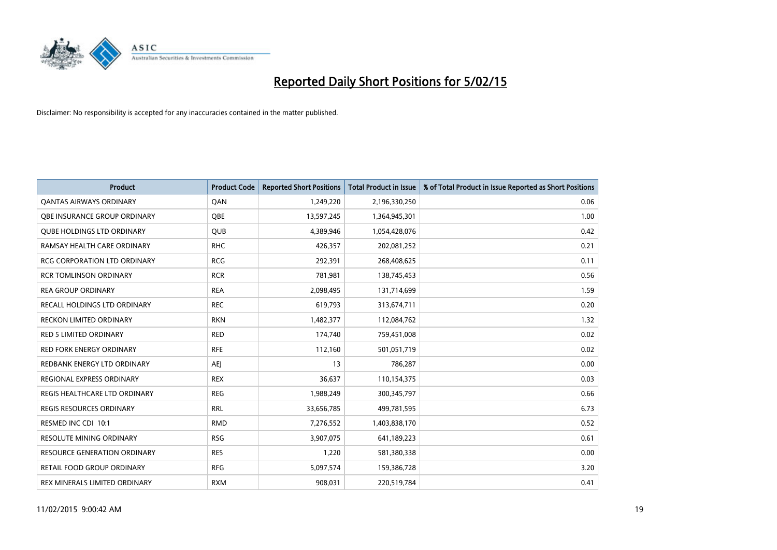

| <b>Product</b>                      | <b>Product Code</b> | <b>Reported Short Positions</b> | <b>Total Product in Issue</b> | % of Total Product in Issue Reported as Short Positions |
|-------------------------------------|---------------------|---------------------------------|-------------------------------|---------------------------------------------------------|
| <b>QANTAS AIRWAYS ORDINARY</b>      | QAN                 | 1,249,220                       | 2,196,330,250                 | 0.06                                                    |
| OBE INSURANCE GROUP ORDINARY        | QBE                 | 13,597,245                      | 1,364,945,301                 | 1.00                                                    |
| <b>QUBE HOLDINGS LTD ORDINARY</b>   | QUB                 | 4,389,946                       | 1,054,428,076                 | 0.42                                                    |
| RAMSAY HEALTH CARE ORDINARY         | <b>RHC</b>          | 426,357                         | 202,081,252                   | 0.21                                                    |
| <b>RCG CORPORATION LTD ORDINARY</b> | <b>RCG</b>          | 292,391                         | 268,408,625                   | 0.11                                                    |
| <b>RCR TOMLINSON ORDINARY</b>       | <b>RCR</b>          | 781,981                         | 138,745,453                   | 0.56                                                    |
| <b>REA GROUP ORDINARY</b>           | <b>REA</b>          | 2,098,495                       | 131,714,699                   | 1.59                                                    |
| RECALL HOLDINGS LTD ORDINARY        | <b>REC</b>          | 619,793                         | 313,674,711                   | 0.20                                                    |
| <b>RECKON LIMITED ORDINARY</b>      | <b>RKN</b>          | 1,482,377                       | 112,084,762                   | 1.32                                                    |
| RED 5 LIMITED ORDINARY              | <b>RED</b>          | 174,740                         | 759,451,008                   | 0.02                                                    |
| RED FORK ENERGY ORDINARY            | <b>RFE</b>          | 112,160                         | 501,051,719                   | 0.02                                                    |
| REDBANK ENERGY LTD ORDINARY         | AEJ                 | 13                              | 786,287                       | 0.00                                                    |
| REGIONAL EXPRESS ORDINARY           | <b>REX</b>          | 36,637                          | 110,154,375                   | 0.03                                                    |
| REGIS HEALTHCARE LTD ORDINARY       | <b>REG</b>          | 1,988,249                       | 300, 345, 797                 | 0.66                                                    |
| REGIS RESOURCES ORDINARY            | <b>RRL</b>          | 33,656,785                      | 499,781,595                   | 6.73                                                    |
| RESMED INC CDI 10:1                 | <b>RMD</b>          | 7,276,552                       | 1,403,838,170                 | 0.52                                                    |
| RESOLUTE MINING ORDINARY            | <b>RSG</b>          | 3,907,075                       | 641,189,223                   | 0.61                                                    |
| <b>RESOURCE GENERATION ORDINARY</b> | <b>RES</b>          | 1,220                           | 581,380,338                   | 0.00                                                    |
| RETAIL FOOD GROUP ORDINARY          | <b>RFG</b>          | 5,097,574                       | 159,386,728                   | 3.20                                                    |
| REX MINERALS LIMITED ORDINARY       | <b>RXM</b>          | 908,031                         | 220,519,784                   | 0.41                                                    |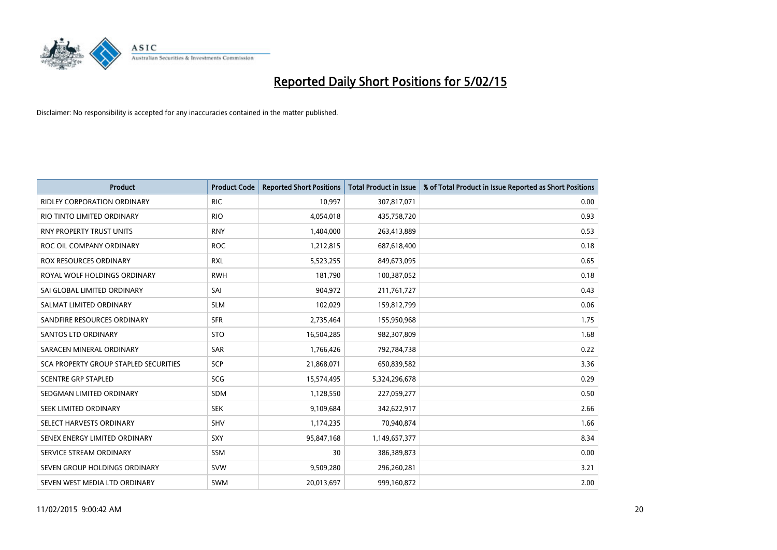

| <b>Product</b>                               | <b>Product Code</b> | <b>Reported Short Positions</b> | <b>Total Product in Issue</b> | % of Total Product in Issue Reported as Short Positions |
|----------------------------------------------|---------------------|---------------------------------|-------------------------------|---------------------------------------------------------|
| <b>RIDLEY CORPORATION ORDINARY</b>           | <b>RIC</b>          | 10,997                          | 307,817,071                   | 0.00                                                    |
| RIO TINTO LIMITED ORDINARY                   | <b>RIO</b>          | 4,054,018                       | 435,758,720                   | 0.93                                                    |
| <b>RNY PROPERTY TRUST UNITS</b>              | <b>RNY</b>          | 1,404,000                       | 263,413,889                   | 0.53                                                    |
| ROC OIL COMPANY ORDINARY                     | <b>ROC</b>          | 1,212,815                       | 687,618,400                   | 0.18                                                    |
| <b>ROX RESOURCES ORDINARY</b>                | <b>RXL</b>          | 5,523,255                       | 849,673,095                   | 0.65                                                    |
| ROYAL WOLF HOLDINGS ORDINARY                 | <b>RWH</b>          | 181,790                         | 100,387,052                   | 0.18                                                    |
| SAI GLOBAL LIMITED ORDINARY                  | SAI                 | 904,972                         | 211,761,727                   | 0.43                                                    |
| SALMAT LIMITED ORDINARY                      | <b>SLM</b>          | 102,029                         | 159,812,799                   | 0.06                                                    |
| SANDFIRE RESOURCES ORDINARY                  | <b>SFR</b>          | 2,735,464                       | 155,950,968                   | 1.75                                                    |
| SANTOS LTD ORDINARY                          | <b>STO</b>          | 16,504,285                      | 982,307,809                   | 1.68                                                    |
| SARACEN MINERAL ORDINARY                     | SAR                 | 1,766,426                       | 792,784,738                   | 0.22                                                    |
| <b>SCA PROPERTY GROUP STAPLED SECURITIES</b> | SCP                 | 21,868,071                      | 650,839,582                   | 3.36                                                    |
| <b>SCENTRE GRP STAPLED</b>                   | SCG                 | 15,574,495                      | 5,324,296,678                 | 0.29                                                    |
| SEDGMAN LIMITED ORDINARY                     | SDM                 | 1,128,550                       | 227,059,277                   | 0.50                                                    |
| SEEK LIMITED ORDINARY                        | <b>SEK</b>          | 9,109,684                       | 342,622,917                   | 2.66                                                    |
| SELECT HARVESTS ORDINARY                     | SHV                 | 1,174,235                       | 70,940,874                    | 1.66                                                    |
| SENEX ENERGY LIMITED ORDINARY                | SXY                 | 95,847,168                      | 1,149,657,377                 | 8.34                                                    |
| SERVICE STREAM ORDINARY                      | <b>SSM</b>          | 30                              | 386,389,873                   | 0.00                                                    |
| SEVEN GROUP HOLDINGS ORDINARY                | <b>SVW</b>          | 9,509,280                       | 296,260,281                   | 3.21                                                    |
| SEVEN WEST MEDIA LTD ORDINARY                | SWM                 | 20,013,697                      | 999,160,872                   | 2.00                                                    |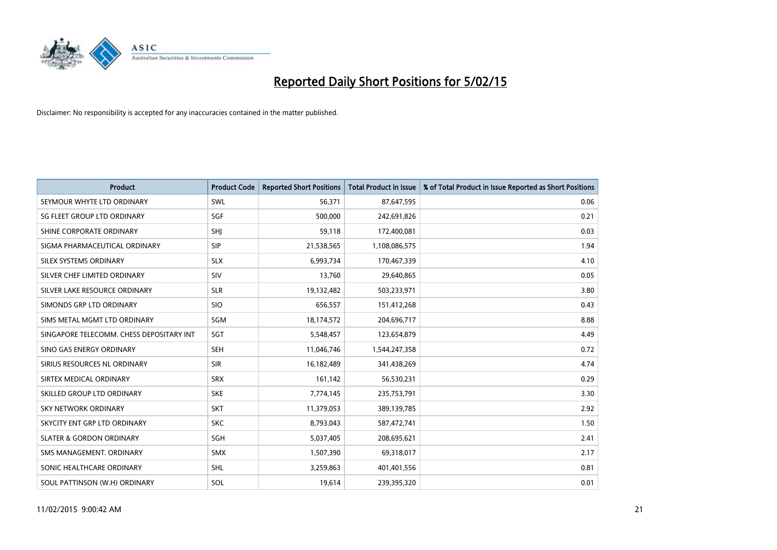

| <b>Product</b>                           | <b>Product Code</b> | <b>Reported Short Positions</b> | <b>Total Product in Issue</b> | % of Total Product in Issue Reported as Short Positions |
|------------------------------------------|---------------------|---------------------------------|-------------------------------|---------------------------------------------------------|
| SEYMOUR WHYTE LTD ORDINARY               | <b>SWL</b>          | 56,371                          | 87,647,595                    | 0.06                                                    |
| SG FLEET GROUP LTD ORDINARY              | SGF                 | 500,000                         | 242,691,826                   | 0.21                                                    |
| SHINE CORPORATE ORDINARY                 | <b>SHI</b>          | 59,118                          | 172,400,081                   | 0.03                                                    |
| SIGMA PHARMACEUTICAL ORDINARY            | <b>SIP</b>          | 21,538,565                      | 1,108,086,575                 | 1.94                                                    |
| SILEX SYSTEMS ORDINARY                   | <b>SLX</b>          | 6,993,734                       | 170,467,339                   | 4.10                                                    |
| SILVER CHEF LIMITED ORDINARY             | SIV                 | 13,760                          | 29,640,865                    | 0.05                                                    |
| SILVER LAKE RESOURCE ORDINARY            | <b>SLR</b>          | 19,132,482                      | 503,233,971                   | 3.80                                                    |
| SIMONDS GRP LTD ORDINARY                 | <b>SIO</b>          | 656,557                         | 151,412,268                   | 0.43                                                    |
| SIMS METAL MGMT LTD ORDINARY             | SGM                 | 18,174,572                      | 204,696,717                   | 8.88                                                    |
| SINGAPORE TELECOMM. CHESS DEPOSITARY INT | SGT                 | 5,548,457                       | 123,654,879                   | 4.49                                                    |
| SINO GAS ENERGY ORDINARY                 | <b>SEH</b>          | 11,046,746                      | 1,544,247,358                 | 0.72                                                    |
| SIRIUS RESOURCES NL ORDINARY             | <b>SIR</b>          | 16,182,489                      | 341,438,269                   | 4.74                                                    |
| SIRTEX MEDICAL ORDINARY                  | <b>SRX</b>          | 161,142                         | 56,530,231                    | 0.29                                                    |
| SKILLED GROUP LTD ORDINARY               | <b>SKE</b>          | 7,774,145                       | 235,753,791                   | 3.30                                                    |
| <b>SKY NETWORK ORDINARY</b>              | <b>SKT</b>          | 11,379,053                      | 389,139,785                   | 2.92                                                    |
| SKYCITY ENT GRP LTD ORDINARY             | <b>SKC</b>          | 8,793,043                       | 587,472,741                   | 1.50                                                    |
| <b>SLATER &amp; GORDON ORDINARY</b>      | SGH                 | 5,037,405                       | 208,695,621                   | 2.41                                                    |
| SMS MANAGEMENT. ORDINARY                 | <b>SMX</b>          | 1,507,390                       | 69,318,017                    | 2.17                                                    |
| SONIC HEALTHCARE ORDINARY                | SHL                 | 3,259,863                       | 401,401,556                   | 0.81                                                    |
| SOUL PATTINSON (W.H) ORDINARY            | SOL                 | 19,614                          | 239,395,320                   | 0.01                                                    |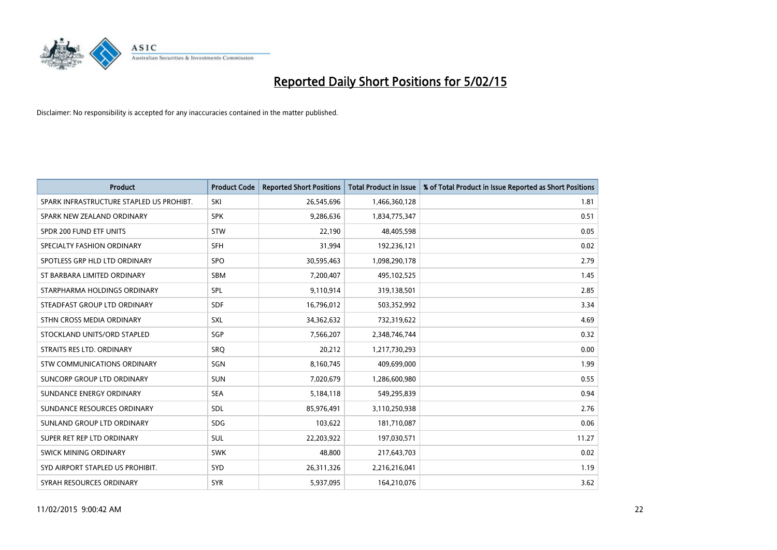

| <b>Product</b>                           | <b>Product Code</b> | <b>Reported Short Positions</b> | <b>Total Product in Issue</b> | % of Total Product in Issue Reported as Short Positions |
|------------------------------------------|---------------------|---------------------------------|-------------------------------|---------------------------------------------------------|
| SPARK INFRASTRUCTURE STAPLED US PROHIBT. | SKI                 | 26,545,696                      | 1,466,360,128                 | 1.81                                                    |
| SPARK NEW ZEALAND ORDINARY               | <b>SPK</b>          | 9,286,636                       | 1,834,775,347                 | 0.51                                                    |
| SPDR 200 FUND ETF UNITS                  | <b>STW</b>          | 22,190                          | 48,405,598                    | 0.05                                                    |
| SPECIALTY FASHION ORDINARY               | <b>SFH</b>          | 31,994                          | 192,236,121                   | 0.02                                                    |
| SPOTLESS GRP HLD LTD ORDINARY            | <b>SPO</b>          | 30,595,463                      | 1,098,290,178                 | 2.79                                                    |
| ST BARBARA LIMITED ORDINARY              | <b>SBM</b>          | 7,200,407                       | 495,102,525                   | 1.45                                                    |
| STARPHARMA HOLDINGS ORDINARY             | <b>SPL</b>          | 9,110,914                       | 319,138,501                   | 2.85                                                    |
| STEADFAST GROUP LTD ORDINARY             | <b>SDF</b>          | 16,796,012                      | 503,352,992                   | 3.34                                                    |
| STHN CROSS MEDIA ORDINARY                | SXL                 | 34,362,632                      | 732,319,622                   | 4.69                                                    |
| STOCKLAND UNITS/ORD STAPLED              | SGP                 | 7,566,207                       | 2,348,746,744                 | 0.32                                                    |
| STRAITS RES LTD. ORDINARY                | SRO                 | 20,212                          | 1,217,730,293                 | 0.00                                                    |
| STW COMMUNICATIONS ORDINARY              | SGN                 | 8,160,745                       | 409,699,000                   | 1.99                                                    |
| SUNCORP GROUP LTD ORDINARY               | <b>SUN</b>          | 7,020,679                       | 1,286,600,980                 | 0.55                                                    |
| SUNDANCE ENERGY ORDINARY                 | <b>SEA</b>          | 5,184,118                       | 549,295,839                   | 0.94                                                    |
| SUNDANCE RESOURCES ORDINARY              | SDL                 | 85,976,491                      | 3,110,250,938                 | 2.76                                                    |
| SUNLAND GROUP LTD ORDINARY               | <b>SDG</b>          | 103,622                         | 181,710,087                   | 0.06                                                    |
| SUPER RET REP LTD ORDINARY               | SUL                 | 22,203,922                      | 197,030,571                   | 11.27                                                   |
| SWICK MINING ORDINARY                    | <b>SWK</b>          | 48,800                          | 217,643,703                   | 0.02                                                    |
| SYD AIRPORT STAPLED US PROHIBIT.         | <b>SYD</b>          | 26,311,326                      | 2,216,216,041                 | 1.19                                                    |
| SYRAH RESOURCES ORDINARY                 | <b>SYR</b>          | 5,937,095                       | 164,210,076                   | 3.62                                                    |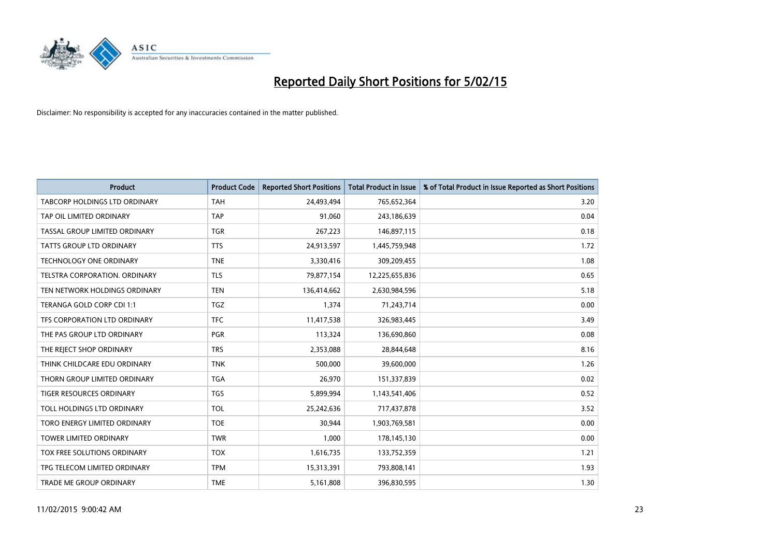

| <b>Product</b>                 | <b>Product Code</b> | <b>Reported Short Positions</b> | <b>Total Product in Issue</b> | % of Total Product in Issue Reported as Short Positions |
|--------------------------------|---------------------|---------------------------------|-------------------------------|---------------------------------------------------------|
| TABCORP HOLDINGS LTD ORDINARY  | <b>TAH</b>          | 24,493,494                      | 765,652,364                   | 3.20                                                    |
| TAP OIL LIMITED ORDINARY       | <b>TAP</b>          | 91,060                          | 243,186,639                   | 0.04                                                    |
| TASSAL GROUP LIMITED ORDINARY  | <b>TGR</b>          | 267,223                         | 146,897,115                   | 0.18                                                    |
| TATTS GROUP LTD ORDINARY       | <b>TTS</b>          | 24,913,597                      | 1,445,759,948                 | 1.72                                                    |
| <b>TECHNOLOGY ONE ORDINARY</b> | <b>TNE</b>          | 3,330,416                       | 309,209,455                   | 1.08                                                    |
| TELSTRA CORPORATION, ORDINARY  | <b>TLS</b>          | 79,877,154                      | 12,225,655,836                | 0.65                                                    |
| TEN NETWORK HOLDINGS ORDINARY  | <b>TEN</b>          | 136,414,662                     | 2,630,984,596                 | 5.18                                                    |
| TERANGA GOLD CORP CDI 1:1      | <b>TGZ</b>          | 1,374                           | 71,243,714                    | 0.00                                                    |
| TFS CORPORATION LTD ORDINARY   | <b>TFC</b>          | 11,417,538                      | 326,983,445                   | 3.49                                                    |
| THE PAS GROUP LTD ORDINARY     | <b>PGR</b>          | 113,324                         | 136,690,860                   | 0.08                                                    |
| THE REJECT SHOP ORDINARY       | <b>TRS</b>          | 2,353,088                       | 28,844,648                    | 8.16                                                    |
| THINK CHILDCARE EDU ORDINARY   | <b>TNK</b>          | 500,000                         | 39,600,000                    | 1.26                                                    |
| THORN GROUP LIMITED ORDINARY   | <b>TGA</b>          | 26,970                          | 151,337,839                   | 0.02                                                    |
| TIGER RESOURCES ORDINARY       | TGS                 | 5,899,994                       | 1,143,541,406                 | 0.52                                                    |
| TOLL HOLDINGS LTD ORDINARY     | <b>TOL</b>          | 25,242,636                      | 717,437,878                   | 3.52                                                    |
| TORO ENERGY LIMITED ORDINARY   | <b>TOE</b>          | 30,944                          | 1,903,769,581                 | 0.00                                                    |
| TOWER LIMITED ORDINARY         | <b>TWR</b>          | 1,000                           | 178,145,130                   | 0.00                                                    |
| TOX FREE SOLUTIONS ORDINARY    | <b>TOX</b>          | 1,616,735                       | 133,752,359                   | 1.21                                                    |
| TPG TELECOM LIMITED ORDINARY   | <b>TPM</b>          | 15,313,391                      | 793,808,141                   | 1.93                                                    |
| TRADE ME GROUP ORDINARY        | <b>TME</b>          | 5,161,808                       | 396,830,595                   | 1.30                                                    |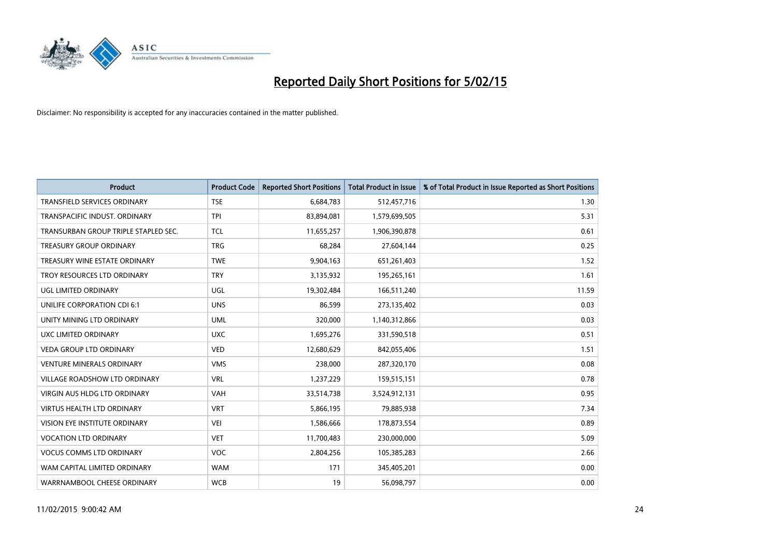

| <b>Product</b>                       | <b>Product Code</b> | <b>Reported Short Positions</b> | <b>Total Product in Issue</b> | % of Total Product in Issue Reported as Short Positions |
|--------------------------------------|---------------------|---------------------------------|-------------------------------|---------------------------------------------------------|
| <b>TRANSFIELD SERVICES ORDINARY</b>  | <b>TSE</b>          | 6,684,783                       | 512,457,716                   | 1.30                                                    |
| TRANSPACIFIC INDUST. ORDINARY        | <b>TPI</b>          | 83,894,081                      | 1,579,699,505                 | 5.31                                                    |
| TRANSURBAN GROUP TRIPLE STAPLED SEC. | TCL                 | 11,655,257                      | 1,906,390,878                 | 0.61                                                    |
| <b>TREASURY GROUP ORDINARY</b>       | <b>TRG</b>          | 68,284                          | 27,604,144                    | 0.25                                                    |
| TREASURY WINE ESTATE ORDINARY        | <b>TWE</b>          | 9,904,163                       | 651,261,403                   | 1.52                                                    |
| TROY RESOURCES LTD ORDINARY          | <b>TRY</b>          | 3,135,932                       | 195,265,161                   | 1.61                                                    |
| UGL LIMITED ORDINARY                 | UGL                 | 19,302,484                      | 166,511,240                   | 11.59                                                   |
| UNILIFE CORPORATION CDI 6:1          | <b>UNS</b>          | 86,599                          | 273,135,402                   | 0.03                                                    |
| UNITY MINING LTD ORDINARY            | <b>UML</b>          | 320,000                         | 1,140,312,866                 | 0.03                                                    |
| <b>UXC LIMITED ORDINARY</b>          | <b>UXC</b>          | 1,695,276                       | 331,590,518                   | 0.51                                                    |
| <b>VEDA GROUP LTD ORDINARY</b>       | <b>VED</b>          | 12,680,629                      | 842,055,406                   | 1.51                                                    |
| <b>VENTURE MINERALS ORDINARY</b>     | <b>VMS</b>          | 238,000                         | 287,320,170                   | 0.08                                                    |
| <b>VILLAGE ROADSHOW LTD ORDINARY</b> | <b>VRL</b>          | 1,237,229                       | 159,515,151                   | 0.78                                                    |
| <b>VIRGIN AUS HLDG LTD ORDINARY</b>  | <b>VAH</b>          | 33,514,738                      | 3,524,912,131                 | 0.95                                                    |
| <b>VIRTUS HEALTH LTD ORDINARY</b>    | <b>VRT</b>          | 5,866,195                       | 79,885,938                    | 7.34                                                    |
| VISION EYE INSTITUTE ORDINARY        | <b>VEI</b>          | 1,586,666                       | 178,873,554                   | 0.89                                                    |
| <b>VOCATION LTD ORDINARY</b>         | <b>VET</b>          | 11,700,483                      | 230,000,000                   | 5.09                                                    |
| <b>VOCUS COMMS LTD ORDINARY</b>      | VOC                 | 2,804,256                       | 105,385,283                   | 2.66                                                    |
| WAM CAPITAL LIMITED ORDINARY         | <b>WAM</b>          | 171                             | 345,405,201                   | 0.00                                                    |
| WARRNAMBOOL CHEESE ORDINARY          | <b>WCB</b>          | 19                              | 56,098,797                    | 0.00                                                    |